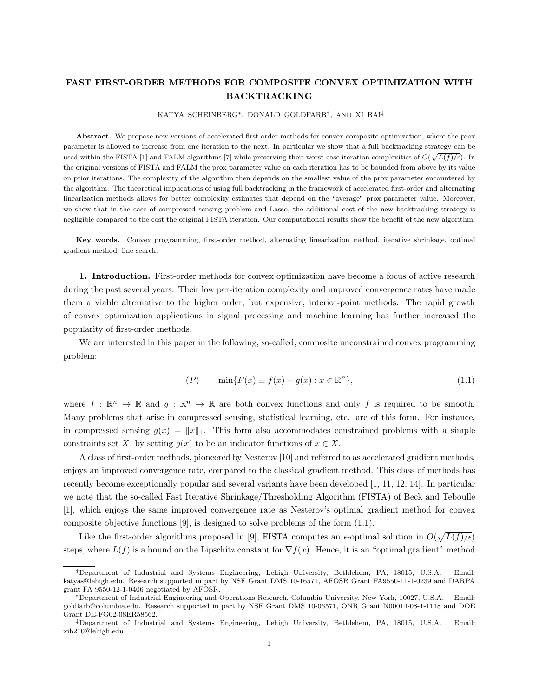## FAST FIRST-ORDER METHODS FOR COMPOSITE CONVEX OPTIMIZATION WITH BACKTRACKING

KATYA SCHEINBERG∗, DONALD GOLDFARB† , AND XI BAI‡

Abstract. We propose new versions of accelerated first order methods for convex composite optimization, where the prox parameter is allowed to increase from one iteration to the next. In particular we show that a full backtracking strategy can be used within the FISTA [1] and FALM algorithms [7] while preserving their worst-case iteration complexities of  $O(\sqrt{L(f)/\epsilon})$ . In the original versions of FISTA and FALM the prox parameter value on each iteration has to be bounded from above by its value on prior iterations. The complexity of the algorithm then depends on the smallest value of the prox parameter encountered by the algorithm. The theoretical implications of using full backtracking in the framework of accelerated first-order and alternating linearization methods allows for better complexity estimates that depend on the "average" prox parameter value. Moreover, we show that in the case of compressed sensing problem and Lasso, the additional cost of the new backtracking strategy is negligible compared to the cost the original FISTA iteration. Our computational results show the benefit of the new algorithm.

Key words. Convex programming, first-order method, alternating linearization method, iterative shrinkage, optimal gradient method, line search.

1. Introduction. First-order methods for convex optimization have become a focus of active research during the past several years. Their low per-iteration complexity and improved convergence rates have made them a viable alternative to the higher order, but expensive, interior-point methods. The rapid growth of convex optimization applications in signal processing and machine learning has further increased the popularity of first-order methods.

We are interested in this paper in the following, so-called, composite unconstrained convex programming problem:

$$
(P) \qquad \min\{F(x) \equiv f(x) + g(x) : x \in \mathbb{R}^n\},\tag{1.1}
$$

where  $f : \mathbb{R}^n \to \mathbb{R}$  and  $g : \mathbb{R}^n \to \mathbb{R}$  are both convex functions and only f is required to be smooth. Many problems that arise in compressed sensing, statistical learning, etc. are of this form. For instance, in compressed sensing  $g(x) = ||x||_1$ . This form also accommodates constrained problems with a simple constraints set X, by setting  $g(x)$  to be an indicator functions of  $x \in X$ .

A class of first-order methods, pioneered by Nesterov [10] and referred to as accelerated gradient methods, enjoys an improved convergence rate, compared to the classical gradient method. This class of methods has recently become exceptionally popular and several variants have been developed [1, 11, 12, 14]. In particular we note that the so-called Fast Iterative Shrinkage/Thresholding Algorithm (FISTA) of Beck and Teboulle [1], which enjoys the same improved convergence rate as Nesterov's optimal gradient method for convex composite objective functions [9], is designed to solve problems of the form (1.1).

Like the first-order algorithms proposed in [9], FISTA computes an  $\epsilon$ -optimal solution in  $O(\sqrt{L(f)/\epsilon})$ steps, where  $L(f)$  is a bound on the Lipschitz constant for  $\nabla f(x)$ . Hence, it is an "optimal gradient" method

<sup>†</sup>Department of Industrial and Systems Engineering, Lehigh University, Bethlehem, PA, 18015, U.S.A. Email: katyas@lehigh.edu. Research supported in part by NSF Grant DMS 10-16571, AFOSR Grant FA9550-11-1-0239 and DARPA grant FA 9550-12-1-0406 negotiated by AFOSR.

<sup>∗</sup>Department of Industrial Engineering and Operations Research, Columbia University, New York, 10027, U.S.A. Email: goldfarb@columbia.edu. Research supported in part by NSF Grant DMS 10-06571, ONR Grant N00014-08-1-1118 and DOE Grant DE-FG02-08ER58562.

<sup>‡</sup>Department of Industrial and Systems Engineering, Lehigh University, Bethlehem, PA, 18015, U.S.A. Email: xib210@lehigh.edu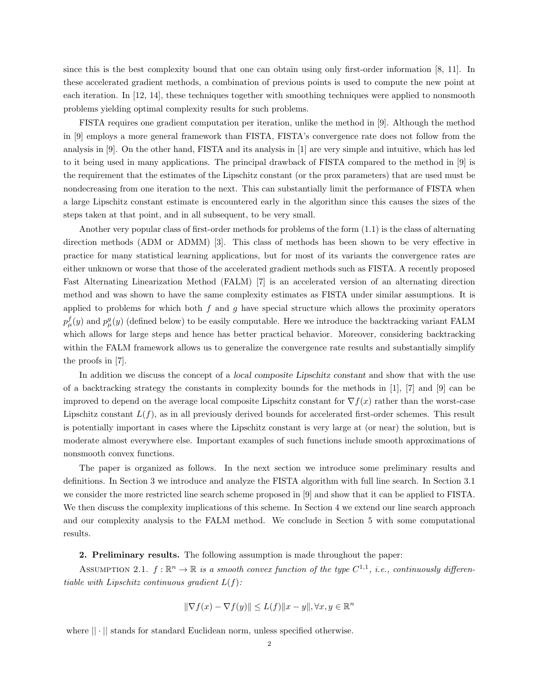since this is the best complexity bound that one can obtain using only first-order information [8, 11]. In these accelerated gradient methods, a combination of previous points is used to compute the new point at each iteration. In [12, 14], these techniques together with smoothing techniques were applied to nonsmooth problems yielding optimal complexity results for such problems.

FISTA requires one gradient computation per iteration, unlike the method in [9]. Although the method in [9] employs a more general framework than FISTA, FISTA's convergence rate does not follow from the analysis in [9]. On the other hand, FISTA and its analysis in [1] are very simple and intuitive, which has led to it being used in many applications. The principal drawback of FISTA compared to the method in [9] is the requirement that the estimates of the Lipschitz constant (or the prox parameters) that are used must be nondecreasing from one iteration to the next. This can substantially limit the performance of FISTA when a large Lipschitz constant estimate is encountered early in the algorithm since this causes the sizes of the steps taken at that point, and in all subsequent, to be very small.

Another very popular class of first-order methods for problems of the form (1.1) is the class of alternating direction methods (ADM or ADMM) [3]. This class of methods has been shown to be very effective in practice for many statistical learning applications, but for most of its variants the convergence rates are either unknown or worse that those of the accelerated gradient methods such as FISTA. A recently proposed Fast Alternating Linearization Method (FALM) [7] is an accelerated version of an alternating direction method and was shown to have the same complexity estimates as FISTA under similar assumptions. It is applied to problems for which both  $f$  and  $g$  have special structure which allows the proximity operators  $p_\mu^f(y)$  and  $p_\mu^g(y)$  (defined below) to be easily computable. Here we introduce the backtracking variant FALM which allows for large steps and hence has better practical behavior. Moreover, considering backtracking within the FALM framework allows us to generalize the convergence rate results and substantially simplify the proofs in [7].

In addition we discuss the concept of a local composite Lipschitz constant and show that with the use of a backtracking strategy the constants in complexity bounds for the methods in [1], [7] and [9] can be improved to depend on the average local composite Lipschitz constant for  $\nabla f(x)$  rather than the worst-case Lipschitz constant  $L(f)$ , as in all previously derived bounds for accelerated first-order schemes. This result is potentially important in cases where the Lipschitz constant is very large at (or near) the solution, but is moderate almost everywhere else. Important examples of such functions include smooth approximations of nonsmooth convex functions.

The paper is organized as follows. In the next section we introduce some preliminary results and definitions. In Section 3 we introduce and analyze the FISTA algorithm with full line search. In Section 3.1 we consider the more restricted line search scheme proposed in [9] and show that it can be applied to FISTA. We then discuss the complexity implications of this scheme. In Section 4 we extend our line search approach and our complexity analysis to the FALM method. We conclude in Section 5 with some computational results.

2. Preliminary results. The following assumption is made throughout the paper:

ASSUMPTION 2.1.  $f : \mathbb{R}^n \to \mathbb{R}$  is a smooth convex function of the type  $C^{1,1}$ , i.e., continuously differentiable with Lipschitz continuous gradient  $L(f)$ :

$$
\|\nabla f(x) - \nabla f(y)\| \le L(f) \|x - y\|, \forall x, y \in \mathbb{R}^n
$$

where  $|| \cdot ||$  stands for standard Euclidean norm, unless specified otherwise.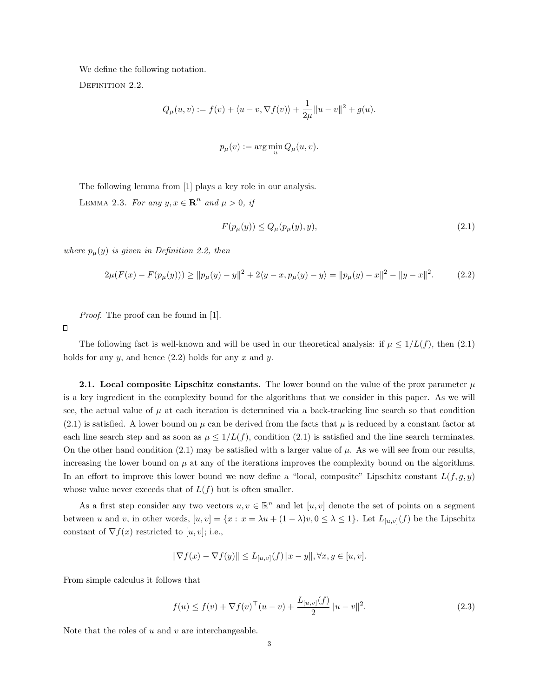We define the following notation.

DEFINITION 2.2.

$$
Q_{\mu}(u, v) := f(v) + \langle u - v, \nabla f(v) \rangle + \frac{1}{2\mu} ||u - v||^{2} + g(u).
$$

$$
p_{\mu}(v) := \arg\min_{u} Q_{\mu}(u, v).
$$

The following lemma from [1] plays a key role in our analysis.

LEMMA 2.3. For any  $y, x \in \mathbb{R}^n$  and  $\mu > 0$ , if

$$
F(p_{\mu}(y)) \le Q_{\mu}(p_{\mu}(y), y), \tag{2.1}
$$

where  $p_{\mu}(y)$  is given in Definition 2.2, then

$$
2\mu(F(x) - F(p_{\mu}(y))) \ge ||p_{\mu}(y) - y||^2 + 2\langle y - x, p_{\mu}(y) - y \rangle = ||p_{\mu}(y) - x||^2 - ||y - x||^2. \tag{2.2}
$$

Proof. The proof can be found in [1].

 $\Box$ 

The following fact is well-known and will be used in our theoretical analysis: if  $\mu \leq 1/L(f)$ , then (2.1) holds for any  $y$ , and hence  $(2.2)$  holds for any  $x$  and  $y$ .

2.1. Local composite Lipschitz constants. The lower bound on the value of the prox parameter  $\mu$ is a key ingredient in the complexity bound for the algorithms that we consider in this paper. As we will see, the actual value of  $\mu$  at each iteration is determined via a back-tracking line search so that condition  $(2.1)$  is satisfied. A lower bound on  $\mu$  can be derived from the facts that  $\mu$  is reduced by a constant factor at each line search step and as soon as  $\mu \leq 1/L(f)$ , condition (2.1) is satisfied and the line search terminates. On the other hand condition (2.1) may be satisfied with a larger value of  $\mu$ . As we will see from our results, increasing the lower bound on  $\mu$  at any of the iterations improves the complexity bound on the algorithms. In an effort to improve this lower bound we now define a "local, composite" Lipschitz constant  $L(f, g, y)$ whose value never exceeds that of  $L(f)$  but is often smaller.

As a first step consider any two vectors  $u, v \in \mathbb{R}^n$  and let  $[u, v]$  denote the set of points on a segment between u and v, in other words,  $[u, v] = \{x : x = \lambda u + (1 - \lambda)v, 0 \leq \lambda \leq 1\}$ . Let  $L_{[u, v]}(f)$  be the Lipschitz constant of  $\nabla f(x)$  restricted to [u, v]; i.e.,

$$
\|\nabla f(x) - \nabla f(y)\| \le L_{[u,v]}(f) \|x - y\|, \forall x, y \in [u, v].
$$

From simple calculus it follows that

$$
f(u) \le f(v) + \nabla f(v)^\top (u - v) + \frac{L_{[u,v]}(f)}{2} ||u - v||^2.
$$
 (2.3)

Note that the roles of  $u$  and  $v$  are interchangeable.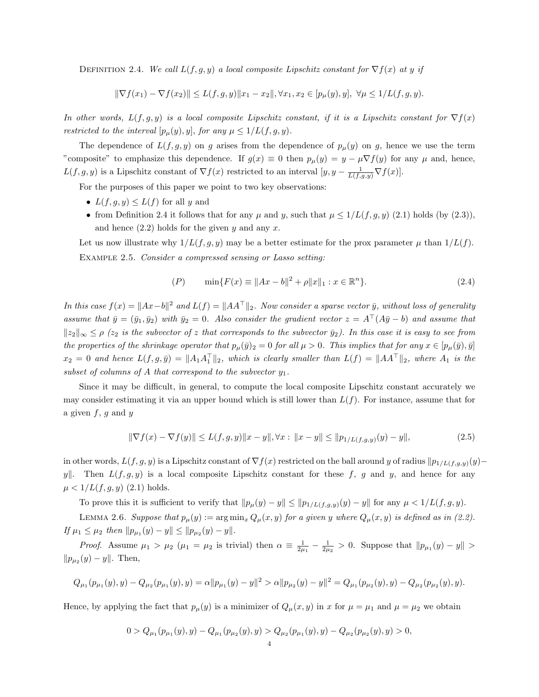DEFINITION 2.4. We call  $L(f, g, y)$  a local composite Lipschitz constant for  $\nabla f(x)$  at y if

$$
\|\nabla f(x_1)-\nabla f(x_2)\|\leq L(f,g,y)\|x_1-x_2\|, \forall x_1,x_2\in [p_\mu(y),y],\ \forall \mu\leq 1/L(f,g,y).
$$

In other words,  $L(f, g, y)$  is a local composite Lipschitz constant, if it is a Lipschitz constant for  $\nabla f(x)$ restricted to the interval  $[p_\mu(y), y]$ , for any  $\mu \leq 1/L(f, g, y)$ .

The dependence of  $L(f, g, y)$  on g arises from the dependence of  $p_{\mu}(y)$  on g, hence we use the term "composite" to emphasize this dependence. If  $g(x) \equiv 0$  then  $p_\mu(y) = y - \mu \nabla f(y)$  for any  $\mu$  and, hence,  $L(f, g, y)$  is a Lipschitz constant of  $\nabla f(x)$  restricted to an interval  $[y, y - \frac{1}{L(f, g, y)} \nabla f(x)]$ .

For the purposes of this paper we point to two key observations:

- $L(f, g, y) \leq L(f)$  for all y and
- from Definition 2.4 it follows that for any  $\mu$  and  $y$ , such that  $\mu \leq 1/L(f, g, y)$  (2.1) holds (by (2.3)), and hence  $(2.2)$  holds for the given y and any x.

Let us now illustrate why  $1/L(f, g, y)$  may be a better estimate for the prox parameter  $\mu$  than  $1/L(f)$ . Example 2.5. Consider a compressed sensing or Lasso setting:

$$
(P) \qquad \min\{F(x) \equiv \|Ax - b\|^2 + \rho \|x\|_1 : x \in \mathbb{R}^n\}.
$$
\n
$$
(2.4)
$$

In this case  $f(x) = \|Ax-b\|^2$  and  $L(f) = \|AA^{\top}\|_2$ . Now consider a sparse vector  $\bar{y}$ , without loss of generality assume that  $\bar{y} = (\bar{y}_1, \bar{y}_2)$  with  $\bar{y}_2 = 0$ . Also consider the gradient vector  $z = A^{\top}(A\bar{y} - b)$  and assume that  $\|z_2\|_{\infty} \leq \rho$  (z<sub>2</sub> is the subvector of z that corresponds to the subvector  $\bar{y}_2$ ). In this case it is easy to see from the properties of the shrinkage operator that  $p_\mu(\bar{y})_2 = 0$  for all  $\mu > 0$ . This implies that for any  $x \in [p_\mu(\bar{y}), \bar{y}]$  $x_2 = 0$  and hence  $L(f, g, \bar{y}) = ||A_1 A_1^{\top}||_2$ , which is clearly smaller than  $L(f) = ||A A^{\top}||_2$ , where  $A_1$  is the subset of columns of A that correspond to the subvector  $y_1$ .

Since it may be difficult, in general, to compute the local composite Lipschitz constant accurately we may consider estimating it via an upper bound which is still lower than  $L(f)$ . For instance, assume that for a given  $f, g$  and  $y$ 

$$
\|\nabla f(x) - \nabla f(y)\| \le L(f, g, y) \|x - y\|, \forall x : \|x - y\| \le \|p_{1/L(f, g, y)}(y) - y\|,
$$
\n(2.5)

in other words,  $L(f, g, y)$  is a Lipschitz constant of  $\nabla f(x)$  restricted on the ball around y of radius  $\|p_{1/L(f,g,y)}(y)-\|$ y. Then  $L(f, g, y)$  is a local composite Lipschitz constant for these f, g and y, and hence for any  $\mu < 1/L(f, g, y)$  (2.1) holds.

To prove this it is sufficient to verify that  $||p_\mu(y) - y|| \le ||p_{1/L(f,g,y)}(y) - y||$  for any  $\mu < 1/L(f,g,y)$ .

LEMMA 2.6. Suppose that  $p_{\mu}(y) := \arg \min_{x} Q_{\mu}(x, y)$  for a given y where  $Q_{\mu}(x, y)$  is defined as in (2.2). If  $\mu_1 \leq \mu_2$  then  $||p_{\mu_1}(y) - y|| \leq ||p_{\mu_2}(y) - y||$ .

Proof. Assume  $\mu_1 > \mu_2$  ( $\mu_1 = \mu_2$  is trivial) then  $\alpha \equiv \frac{1}{2\mu_1} - \frac{1}{2\mu_2} > 0$ . Suppose that  $||p_{\mu_1}(y) - y|| >$  $||p_{\mu_2}(y) - y||$ . Then,

$$
Q_{\mu_1}(p_{\mu_1}(y),y) - Q_{\mu_2}(p_{\mu_1}(y),y) = \alpha ||p_{\mu_1}(y) - y||^2 > \alpha ||p_{\mu_2}(y) - y||^2 = Q_{\mu_1}(p_{\mu_2}(y),y) - Q_{\mu_2}(p_{\mu_2}(y),y).
$$

Hence, by applying the fact that  $p_\mu(y)$  is a minimizer of  $Q_\mu(x, y)$  in x for  $\mu = \mu_1$  and  $\mu = \mu_2$  we obtain

$$
0 > Q_{\mu_1}(p_{\mu_1}(y), y) - Q_{\mu_1}(p_{\mu_2}(y), y) > Q_{\mu_2}(p_{\mu_1}(y), y) - Q_{\mu_2}(p_{\mu_2}(y), y) > 0,
$$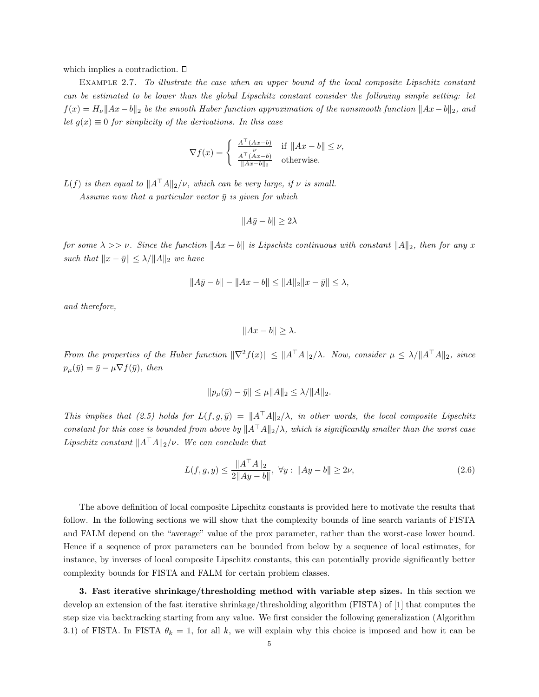which implies a contradiction.  $\Box$ 

Example 2.7. To illustrate the case when an upper bound of the local composite Lipschitz constant can be estimated to be lower than the global Lipschitz constant consider the following simple setting: let  $f(x) = H_{\nu} \|Ax - b\|_2$  be the smooth Huber function approximation of the nonsmooth function  $\|Ax - b\|_2$ , and let  $g(x) \equiv 0$  for simplicity of the derivations. In this case

$$
\nabla f(x) = \begin{cases} \n\frac{A^{\top}(Ax-b)}{\nu} & \text{if } \|Ax-b\| \leq \nu, \\ \n\frac{A^{\top}(Ax-b)}{\|Ax-b\|_2} & \text{otherwise.} \n\end{cases}
$$

 $L(f)$  is then equal to  $||A^{\top}A||_2/\nu$ , which can be very large, if  $\nu$  is small.

Assume now that a particular vector  $\bar{y}$  is given for which

$$
||A\bar{y} - b|| \ge 2\lambda
$$

for some  $\lambda >> \nu$ . Since the function  $||Ax - b||$  is Lipschitz continuous with constant  $||A||_2$ , then for any x such that  $||x - \bar{y}|| \le \lambda / ||A||_2$  we have

$$
||A\bar{y} - b|| - ||Ax - b|| \le ||A||_2 ||x - \bar{y}|| \le \lambda,
$$

and therefore,

 $||Ax - b|| > \lambda.$ 

From the properties of the Huber function  $\|\nabla^2 f(x)\| \leq \|A^\top A\|_2/\lambda$ . Now, consider  $\mu \leq \lambda / \|A^\top A\|_2$ , since  $p_{\mu}(\bar{y}) = \bar{y} - \mu \nabla f(\bar{y}), \text{ then}$ 

$$
||p_{\mu}(\bar{y}) - \bar{y}|| \le \mu ||A||_2 \le \lambda / ||A||_2.
$$

This implies that (2.5) holds for  $L(f, g, \bar{y}) = ||A^\top A||_2/\lambda$ , in other words, the local composite Lipschitz constant for this case is bounded from above by  $||A^{\top}A||_2/\lambda$ , which is significantly smaller than the worst case Lipschitz constant  $||A^{\top}A||_2/\nu$ . We can conclude that

$$
L(f, g, y) \le \frac{\|A^\top A\|_2}{2\|Ay - b\|}, \ \forall y : \|Ay - b\| \ge 2\nu,
$$
\n(2.6)

The above definition of local composite Lipschitz constants is provided here to motivate the results that follow. In the following sections we will show that the complexity bounds of line search variants of FISTA and FALM depend on the "average" value of the prox parameter, rather than the worst-case lower bound. Hence if a sequence of prox parameters can be bounded from below by a sequence of local estimates, for instance, by inverses of local composite Lipschitz constants, this can potentially provide significantly better complexity bounds for FISTA and FALM for certain problem classes.

3. Fast iterative shrinkage/thresholding method with variable step sizes. In this section we develop an extension of the fast iterative shrinkage/thresholding algorithm (FISTA) of [1] that computes the step size via backtracking starting from any value. We first consider the following generalization (Algorithm 3.1) of FISTA. In FISTA  $\theta_k = 1$ , for all k, we will explain why this choice is imposed and how it can be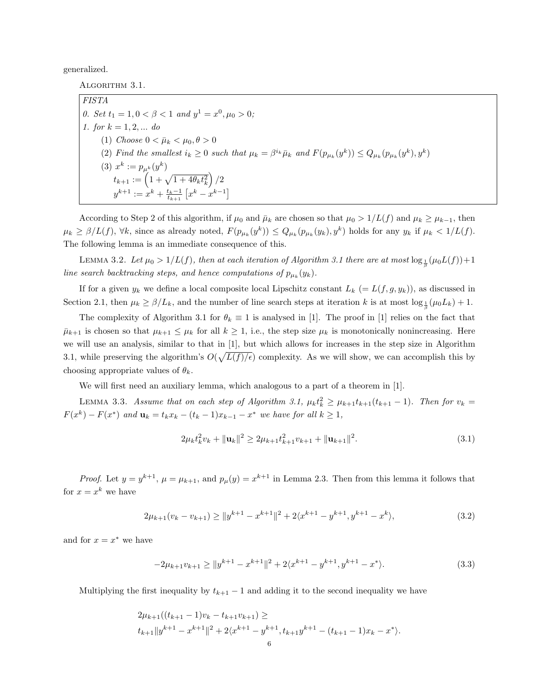generalized.

ALGORITHM 3.1.

FISTA 0. Set  $t_1 = 1, 0 < \beta < 1$  and  $y^1 = x^0, \mu_0 > 0$ ; 1. for  $k = 1, 2, ...$  do (1) Choose  $0 < \bar{\mu}_k < \mu_0, \theta > 0$ (2) Find the smallest  $i_k \geq 0$  such that  $\mu_k = \beta^{i_k} \bar{\mu}_k$  and  $F(p_{\mu_k}(y^k)) \leq Q_{\mu_k}(p_{\mu_k}(y^k), y^k)$ (3)  $x^k := p_{\mu^k}(y^k)$  $t_{k+1} := \left(1 + \sqrt{1 + 4\theta_k t_k^2}\right)/2$  $y^{k+1} := x^k + \frac{t_k-1}{t_{k+1}} [x^k - x^{k-1}]$ 

According to Step 2 of this algorithm, if  $\mu_0$  and  $\bar{\mu}_k$  are chosen so that  $\mu_0 > 1/L(f)$  and  $\mu_k \ge \mu_{k-1}$ , then  $\mu_k \ge \beta/L(f)$ ,  $\forall k$ , since as already noted,  $F(p_{\mu_k}(y^k)) \le Q_{\mu_k}(p_{\mu_k}(y_k), y^k)$  holds for any  $y_k$  if  $\mu_k < 1/L(f)$ . The following lemma is an immediate consequence of this.

LEMMA 3.2. Let  $\mu_0 > 1/L(f)$ , then at each iteration of Algorithm 3.1 there are at most  $\log_{\frac{1}{\beta}}(\mu_0 L(f))+1$ line search backtracking steps, and hence computations of  $p_{\mu_k}(y_k)$ .

If for a given  $y_k$  we define a local composite local Lipschitz constant  $L_k (= L(f, g, y_k))$ , as discussed in Section 2.1, then  $\mu_k \ge \beta/L_k$ , and the number of line search steps at iteration k is at most  $\log_{\frac{1}{\beta}}(\mu_0 L_k) + 1$ .

The complexity of Algorithm 3.1 for  $\theta_k \equiv 1$  is analysed in [1]. The proof in [1] relies on the fact that  $\bar{\mu}_{k+1}$  is chosen so that  $\mu_{k+1} \leq \mu_k$  for all  $k \geq 1$ , i.e., the step size  $\mu_k$  is monotonically nonincreasing. Here we will use an analysis, similar to that in [1], but which allows for increases in the step size in Algorithm 3.1, while preserving the algorithm's  $O(\sqrt{L(f)/\epsilon})$  complexity. As we will show, we can accomplish this by choosing appropriate values of  $\theta_k$ .

We will first need an auxiliary lemma, which analogous to a part of a theorem in [1].

LEMMA 3.3. Assume that on each step of Algorithm 3.1,  $\mu_k t_k^2 \geq \mu_{k+1} t_{k+1}(t_{k+1}-1)$ . Then for  $v_k =$  $F(x^k) - F(x^*)$  and  $\mathbf{u}_k = t_k x_k - (t_k - 1)x_{k-1} - x^*$  we have for all  $k \geq 1$ ,

$$
2\mu_k t_k^2 v_k + \|\mathbf{u}_k\|^2 \ge 2\mu_{k+1} t_{k+1}^2 v_{k+1} + \|\mathbf{u}_{k+1}\|^2. \tag{3.1}
$$

*Proof.* Let  $y = y^{k+1}$ ,  $\mu = \mu_{k+1}$ , and  $p_{\mu}(y) = x^{k+1}$  in Lemma 2.3. Then from this lemma it follows that for  $x = x^k$  we have

$$
2\mu_{k+1}(v_k - v_{k+1}) \ge ||y^{k+1} - x^{k+1}||^2 + 2\langle x^{k+1} - y^{k+1}, y^{k+1} - x^k \rangle,
$$
\n(3.2)

and for  $x = x^*$  we have

$$
-2\mu_{k+1}v_{k+1} \ge ||y^{k+1} - x^{k+1}||^2 + 2\langle x^{k+1} - y^{k+1}, y^{k+1} - x^* \rangle.
$$
 (3.3)

Multiplying the first inequality by  $t_{k+1} - 1$  and adding it to the second inequality we have

$$
2\mu_{k+1}((t_{k+1}-1)v_k - t_{k+1}v_{k+1}) \ge
$$
  

$$
t_{k+1}||y^{k+1} - x^{k+1}||^2 + 2\langle x^{k+1} - y^{k+1}, t_{k+1}y^{k+1} - (t_{k+1}-1)x_k - x^* \rangle.
$$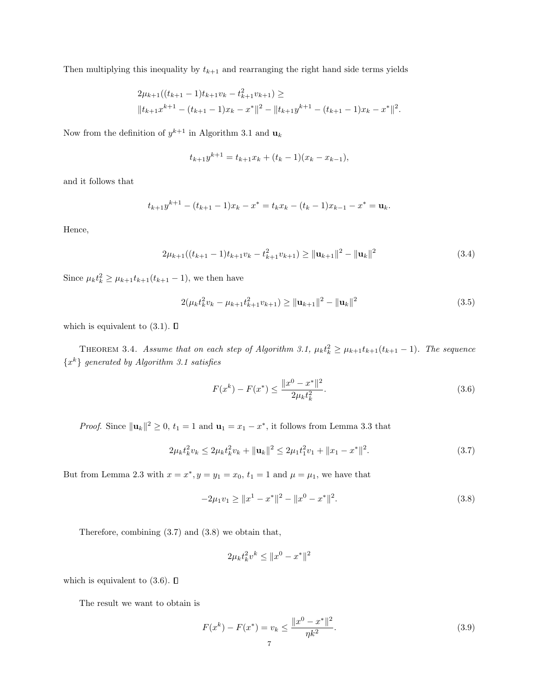Then multiplying this inequality by  $t_{k+1}$  and rearranging the right hand side terms yields

$$
2\mu_{k+1}((t_{k+1}-1)t_{k+1}v_k - t_{k+1}^2v_{k+1}) \ge
$$
  

$$
||t_{k+1}x^{k+1} - (t_{k+1}-1)x_k - x^*||^2 - ||t_{k+1}y^{k+1} - (t_{k+1}-1)x_k - x^*||^2.
$$

Now from the definition of  $y^{k+1}$  in Algorithm 3.1 and  $u_k$ 

$$
t_{k+1}y^{k+1} = t_{k+1}x_k + (t_k - 1)(x_k - x_{k-1}),
$$

and it follows that

$$
t_{k+1}y^{k+1} - (t_{k+1}-1)x_k - x^* = t_kx_k - (t_k-1)x_{k-1} - x^* = \mathbf{u}_k.
$$

Hence,

$$
2\mu_{k+1}((t_{k+1}-1)t_{k+1}v_k - t_{k+1}^2v_{k+1}) \ge ||\mathbf{u}_{k+1}||^2 - ||\mathbf{u}_k||^2
$$
\n(3.4)

Since  $\mu_k t_k^2 \ge \mu_{k+1} t_{k+1}(t_{k+1} - 1)$ , we then have

$$
2(\mu_k t_k^2 v_k - \mu_{k+1} t_{k+1}^2 v_{k+1}) \ge ||\mathbf{u}_{k+1}||^2 - ||\mathbf{u}_k||^2
$$
\n(3.5)

which is equivalent to  $(3.1)$ .  $\Box$ 

THEOREM 3.4. Assume that on each step of Algorithm 3.1,  $\mu_k t_k^2 \geq \mu_{k+1} t_{k+1}(t_{k+1}-1)$ . The sequence  $\{x^k\}$  generated by Algorithm 3.1 satisfies

$$
F(x^{k}) - F(x^{*}) \le \frac{\|x^{0} - x^{*}\|^{2}}{2\mu_{k}t_{k}^{2}}.
$$
\n(3.6)

*Proof.* Since  $\|\mathbf{u}_k\|^2 \geq 0$ ,  $t_1 = 1$  and  $\mathbf{u}_1 = x_1 - x^*$ , it follows from Lemma 3.3 that

$$
2\mu_k t_k^2 v_k \le 2\mu_k t_k^2 v_k + ||\mathbf{u}_k||^2 \le 2\mu_1 t_1^2 v_1 + ||x_1 - x^*||^2. \tag{3.7}
$$

But from Lemma 2.3 with  $x = x^*$ ,  $y = y_1 = x_0$ ,  $t_1 = 1$  and  $\mu = \mu_1$ , we have that

$$
-2\mu_1 v_1 \ge \|x^1 - x^*\|^2 - \|x^0 - x^*\|^2. \tag{3.8}
$$

Therefore, combining (3.7) and (3.8) we obtain that,

$$
2\mu_k t_k^2 v^k \le \|x^0 - x^*\|^2
$$

which is equivalent to  $(3.6)$ .  $\Box$ 

The result we want to obtain is

$$
F(x^{k}) - F(x^{*}) = v_{k} \le \frac{\|x^{0} - x^{*}\|^{2}}{\eta k^{2}}.
$$
\n(3.9)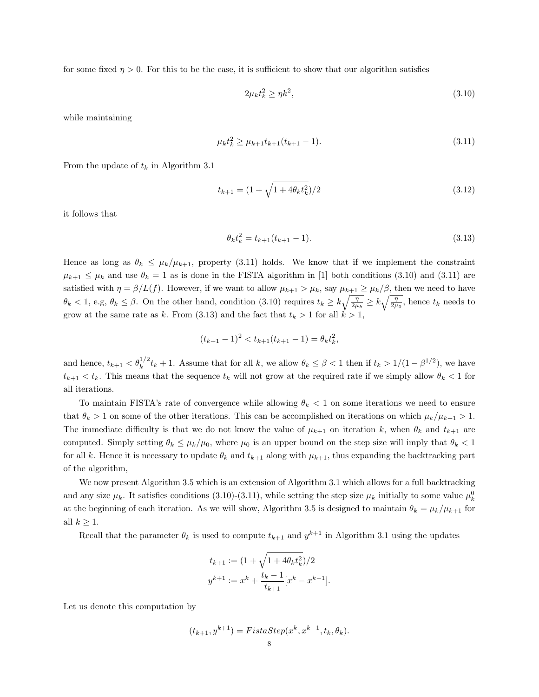for some fixed  $\eta > 0$ . For this to be the case, it is sufficient to show that our algorithm satisfies

$$
2\mu_k t_k^2 \ge \eta k^2,\tag{3.10}
$$

while maintaining

$$
\mu_k t_k^2 \ge \mu_{k+1} t_{k+1} (t_{k+1} - 1). \tag{3.11}
$$

From the update of  $t_k$  in Algorithm 3.1

$$
t_{k+1} = (1 + \sqrt{1 + 4\theta_k t_k^2})/2
$$
\n(3.12)

it follows that

$$
\theta_k t_k^2 = t_{k+1}(t_{k+1} - 1). \tag{3.13}
$$

Hence as long as  $\theta_k \leq \mu_k/\mu_{k+1}$ , property (3.11) holds. We know that if we implement the constraint  $\mu_{k+1} \leq \mu_k$  and use  $\theta_k = 1$  as is done in the FISTA algorithm in [1] both conditions (3.10) and (3.11) are satisfied with  $\eta = \beta/L(f)$ . However, if we want to allow  $\mu_{k+1} > \mu_k$ , say  $\mu_{k+1} \ge \mu_k/\beta$ , then we need to have  $\theta_k < 1$ , e.g,  $\theta_k \leq \beta$ . On the other hand, condition (3.10) requires  $t_k \geq k \sqrt{\frac{\eta}{2\mu_k}} \geq k \sqrt{\frac{\eta}{2\mu_0}}$ , hence  $t_k$  needs to grow at the same rate as k. From (3.13) and the fact that  $t_k > 1$  for all  $k > 1$ ,

$$
(t_{k+1}-1)^2 < t_{k+1}(t_{k+1}-1) = \theta_k t_k^2,
$$

and hence,  $t_{k+1} < \theta_k^{1/2} t_k + 1$ . Assume that for all k, we allow  $\theta_k \leq \beta < 1$  then if  $t_k > 1/(1 - \beta^{1/2})$ , we have  $t_{k+1} < t_k$ . This means that the sequence  $t_k$  will not grow at the required rate if we simply allow  $\theta_k < 1$  for all iterations.

To maintain FISTA's rate of convergence while allowing  $\theta_k < 1$  on some iterations we need to ensure that  $\theta_k > 1$  on some of the other iterations. This can be accomplished on iterations on which  $\mu_k/\mu_{k+1} > 1$ . The immediate difficulty is that we do not know the value of  $\mu_{k+1}$  on iteration k, when  $\theta_k$  and  $t_{k+1}$  are computed. Simply setting  $\theta_k \leq \mu_k/\mu_0$ , where  $\mu_0$  is an upper bound on the step size will imply that  $\theta_k < 1$ for all k. Hence it is necessary to update  $\theta_k$  and  $t_{k+1}$  along with  $\mu_{k+1}$ , thus expanding the backtracking part of the algorithm,

We now present Algorithm 3.5 which is an extension of Algorithm 3.1 which allows for a full backtracking and any size  $\mu_k$ . It satisfies conditions (3.10)-(3.11), while setting the step size  $\mu_k$  initially to some value  $\mu_k^0$ at the beginning of each iteration. As we will show, Algorithm 3.5 is designed to maintain  $\theta_k = \mu_k / \mu_{k+1}$  for all  $k \geq 1$ .

Recall that the parameter  $\theta_k$  is used to compute  $t_{k+1}$  and  $y^{k+1}$  in Algorithm 3.1 using the updates

$$
t_{k+1} := (1 + \sqrt{1 + 4\theta_k t_k^2})/2
$$
  

$$
y^{k+1} := x^k + \frac{t_k - 1}{t_{k+1}} [x^k - x^{k-1}].
$$

Let us denote this computation by

$$
(t_{k+1}, y^{k+1}) = FistaStep(x^k, x^{k-1}, t_k, \theta_k).
$$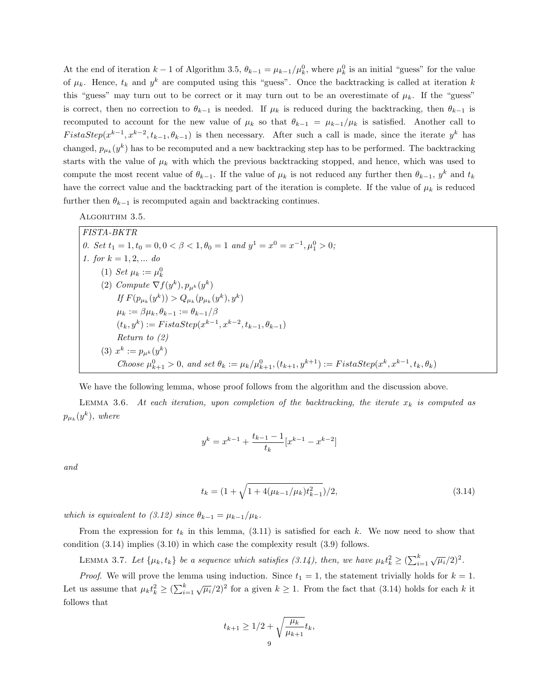At the end of iteration  $k-1$  of Algorithm 3.5,  $\theta_{k-1} = \mu_{k-1}/\mu_k^0$ , where  $\mu_k^0$  is an initial "guess" for the value of  $\mu_k$ . Hence,  $t_k$  and  $y^k$  are computed using this "guess". Once the backtracking is called at iteration k this "guess" may turn out to be correct or it may turn out to be an overestimate of  $\mu_k$ . If the "guess" is correct, then no correction to  $\theta_{k-1}$  is needed. If  $\mu_k$  is reduced during the backtracking, then  $\theta_{k-1}$  is recomputed to account for the new value of  $\mu_k$  so that  $\theta_{k-1} = \mu_{k-1}/\mu_k$  is satisfied. Another call to FistaStep( $x^{k-1}, x^{k-2}, t_{k-1}, \theta_{k-1}$ ) is then necessary. After such a call is made, since the iterate  $y^k$  has changed,  $p_{\mu k}(y^k)$  has to be recomputed and a new backtracking step has to be performed. The backtracking starts with the value of  $\mu_k$  with which the previous backtracking stopped, and hence, which was used to compute the most recent value of  $\theta_{k-1}$ . If the value of  $\mu_k$  is not reduced any further then  $\theta_{k-1}$ ,  $y^k$  and  $t_k$ have the correct value and the backtracking part of the iteration is complete. If the value of  $\mu_k$  is reduced further then  $\theta_{k-1}$  is recomputed again and backtracking continues.

ALGORITHM 3.5.

FISTA-BKTR 0. Set  $t_1 = 1, t_0 = 0, 0 < \beta < 1, \theta_0 = 1$  and  $y^1 = x^0 = x^{-1}, \mu_1^0 > 0$ ; 1. for  $k = 1, 2, ...$  do (1) Set  $\mu_k := \mu_k^0$ (2) Compute  $\nabla f(y^k)$ ,  $p_{\mu^k}(y^k)$ If  $F(p_{\mu_k}(y^k)) > Q_{\mu_k}(p_{\mu_k}(y^k), y^k)$  $\mu_k := \beta \mu_k, \theta_{k-1} := \theta_{k-1}/\beta$  $(t_k, y^k) := \text{F} \text{ is } \text{taStep}(x^{k-1}, x^{k-2}, t_{k-1}, \theta_{k-1})$ Return to (2) (3)  $x^k := p_{\mu^k}(y^k)$ Choose  $\mu_{k+1}^0 > 0$ , and set  $\theta_k := \mu_k / \mu_{k+1}^0, (t_{k+1}, y^{k+1}) := \text{FistaStep}(x^k, x^{k-1}, t_k, \theta_k)$ 

We have the following lemma, whose proof follows from the algorithm and the discussion above.

LEMMA 3.6. At each iteration, upon completion of the backtracking, the iterate  $x_k$  is computed as  $p_{\mu_k}(y^k)$ , where

$$
y^{k} = x^{k-1} + \frac{t_{k-1} - 1}{t_{k}} [x^{k-1} - x^{k-2}]
$$

and

$$
t_k = \left(1 + \sqrt{1 + 4(\mu_{k-1}/\mu_k)t_{k-1}^2}\right)/2,\tag{3.14}
$$

which is equivalent to (3.12) since  $\theta_{k-1} = \mu_{k-1}/\mu_k$ .

From the expression for  $t_k$  in this lemma, (3.11) is satisfied for each k. We now need to show that condition (3.14) implies (3.10) in which case the complexity result (3.9) follows.

LEMMA 3.7. Let  $\{\mu_k, t_k\}$  be a sequence which satisfies (3.14), then, we have  $\mu_k t_k^2 \geq (\sum_{i=1}^k \sqrt{\mu_i}/2)^2$ .

*Proof.* We will prove the lemma using induction. Since  $t_1 = 1$ , the statement trivially holds for  $k = 1$ . Let us assume that  $\mu_k t_k^2 \geq (\sum_{i=1}^k \sqrt{\mu_i}/2)^2$  for a given  $k \geq 1$ . From the fact that (3.14) holds for each k it follows that

$$
t_{k+1} \ge 1/2 + \sqrt{\frac{\mu_k}{\mu_{k+1}}} t_k,
$$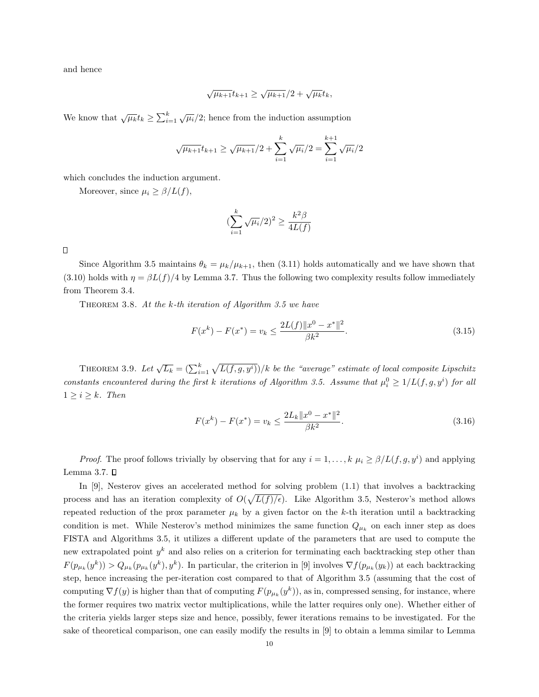and hence

$$
\sqrt{\mu_{k+1}}t_{k+1} \ge \sqrt{\mu_{k+1}}/2 + \sqrt{\mu_k}t_k,
$$

We know that  $\sqrt{\mu_k} t_k \ge \sum_{i=1}^k \sqrt{\mu_i}/2$ ; hence from the induction assumption

$$
\sqrt{\mu_{k+1}}t_{k+1} \ge \sqrt{\mu_{k+1}}/2 + \sum_{i=1}^k \sqrt{\mu_i}/2 = \sum_{i=1}^{k+1} \sqrt{\mu_i}/2
$$

which concludes the induction argument.

Moreover, since  $\mu_i \geq \beta/L(f)$ ,

$$
\left(\sum_{i=1}^k \sqrt{\mu_i}/2\right)^2 \ge \frac{k^2 \beta}{4L(f)}
$$

 $\Box$ 

Since Algorithm 3.5 maintains  $\theta_k = \mu_k/\mu_{k+1}$ , then (3.11) holds automatically and we have shown that (3.10) holds with  $\eta = \beta L(f)/4$  by Lemma 3.7. Thus the following two complexity results follow immediately from Theorem 3.4.

THEOREM 3.8. At the  $k$ -th iteration of Algorithm 3.5 we have

$$
F(x^{k}) - F(x^{*}) = v_{k} \le \frac{2L(f) \|x^{0} - x^{*}\|^{2}}{\beta k^{2}}.
$$
\n(3.15)

THEOREM 3.9. Let  $\sqrt{L_k} = (\sum_{i=1}^k \sqrt{L(f,g,y^i)})/k$  be the "average" estimate of local composite Lipschitz constants encountered during the first k iterations of Algorithm 3.5. Assume that  $\mu_i^0 \geq 1/L(f, g, y^i)$  for all  $1 \geq i \geq k$ . Then

$$
F(x^{k}) - F(x^{*}) = v_{k} \le \frac{2L_{k}||x^{0} - x^{*}||^{2}}{\beta k^{2}}.
$$
\n(3.16)

*Proof.* The proof follows trivially by observing that for any  $i = 1, ..., k$   $\mu_i \ge \beta/L(f, g, y^i)$  and applying Lemma 3.7.  $\square$ 

In [9], Nesterov gives an accelerated method for solving problem (1.1) that involves a backtracking process and has an iteration complexity of  $O(\sqrt{L(f)/\epsilon})$ . Like Algorithm 3.5, Nesterov's method allows repeated reduction of the prox parameter  $\mu_k$  by a given factor on the k-th iteration until a backtracking condition is met. While Nesterov's method minimizes the same function  $Q_{\mu_k}$  on each inner step as does FISTA and Algorithms 3.5, it utilizes a different update of the parameters that are used to compute the new extrapolated point  $y^k$  and also relies on a criterion for terminating each backtracking step other than  $F(p_{\mu_k}(y^k)) > Q_{\mu_k}(p_{\mu_k}(y^k), y^k)$ . In particular, the criterion in [9] involves  $\nabla f(p_{\mu_k}(y_k))$  at each backtracking step, hence increasing the per-iteration cost compared to that of Algorithm 3.5 (assuming that the cost of computing  $\nabla f(y)$  is higher than that of computing  $F(p_{\mu_k}(y^k))$ , as in, compressed sensing, for instance, where the former requires two matrix vector multiplications, while the latter requires only one). Whether either of the criteria yields larger steps size and hence, possibly, fewer iterations remains to be investigated. For the sake of theoretical comparison, one can easily modify the results in [9] to obtain a lemma similar to Lemma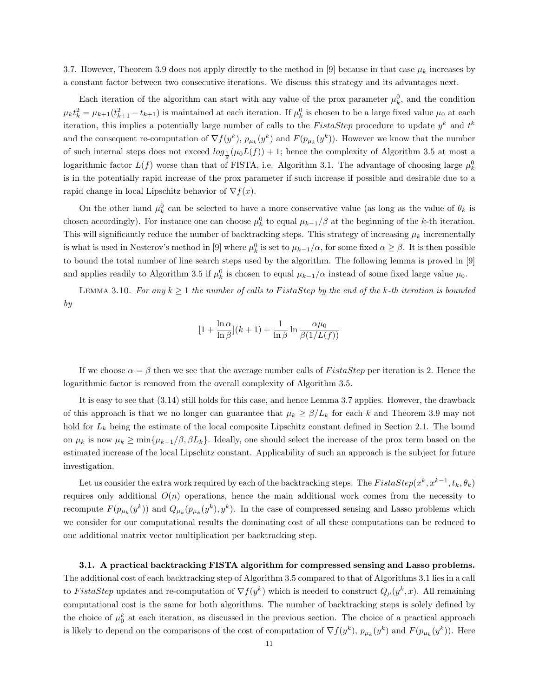3.7. However, Theorem 3.9 does not apply directly to the method in [9] because in that case  $\mu_k$  increases by a constant factor between two consecutive iterations. We discuss this strategy and its advantages next.

Each iteration of the algorithm can start with any value of the prox parameter  $\mu_k^0$ , and the condition  $\mu_k t_k^2 = \mu_{k+1}(t_{k+1}^2 - t_{k+1})$  is maintained at each iteration. If  $\mu_k^0$  is chosen to be a large fixed value  $\mu_0$  at each iteration, this implies a potentially large number of calls to the FistaStep procedure to update  $y^k$  and  $t^k$ and the consequent re-computation of  $\nabla f(y^k)$ ,  $p_{\mu_k}(y^k)$  and  $F(p_{\mu_k}(y^k))$ . However we know that the number of such internal steps does not exceed  $log_{\frac{1}{\beta}}(\mu_0 L(f)) + 1$ ; hence the complexity of Algorithm 3.5 at most a logarithmic factor  $L(f)$  worse than that of FISTA, i.e. Algorithm 3.1. The advantage of choosing large  $\mu_k^0$ is in the potentially rapid increase of the prox parameter if such increase if possible and desirable due to a rapid change in local Lipschitz behavior of  $\nabla f(x)$ .

On the other hand  $\mu_k^0$  can be selected to have a more conservative value (as long as the value of  $\theta_k$  is chosen accordingly). For instance one can choose  $\mu_k^0$  to equal  $\mu_{k-1}/\beta$  at the beginning of the k-th iteration. This will significantly reduce the number of backtracking steps. This strategy of increasing  $\mu_k$  incrementally is what is used in Nesterov's method in [9] where  $\mu_k^0$  is set to  $\mu_{k-1}/\alpha$ , for some fixed  $\alpha \geq \beta$ . It is then possible to bound the total number of line search steps used by the algorithm. The following lemma is proved in [9] and applies readily to Algorithm 3.5 if  $\mu_k^0$  is chosen to equal  $\mu_{k-1}/\alpha$  instead of some fixed large value  $\mu_0$ .

LEMMA 3.10. For any  $k \geq 1$  the number of calls to FistaStep by the end of the k-th iteration is bounded by

$$
[1 + \frac{\ln \alpha}{\ln \beta}](k+1) + \frac{1}{\ln \beta} \ln \frac{\alpha \mu_0}{\beta(1/L(f))}
$$

If we choose  $\alpha = \beta$  then we see that the average number calls of FistaStep per iteration is 2. Hence the logarithmic factor is removed from the overall complexity of Algorithm 3.5.

It is easy to see that (3.14) still holds for this case, and hence Lemma 3.7 applies. However, the drawback of this approach is that we no longer can guarantee that  $\mu_k \ge \beta/L_k$  for each k and Theorem 3.9 may not hold for  $L_k$  being the estimate of the local composite Lipschitz constant defined in Section 2.1. The bound on  $\mu_k$  is now  $\mu_k \ge \min\{\mu_{k-1}/\beta, \beta L_k\}.$  Ideally, one should select the increase of the prox term based on the estimated increase of the local Lipschitz constant. Applicability of such an approach is the subject for future investigation.

Let us consider the extra work required by each of the backtracking steps. The  $FistaStep(x^k, x^{k-1}, t_k, \theta_k)$ requires only additional  $O(n)$  operations, hence the main additional work comes from the necessity to recompute  $F(p_{\mu_k}(y^k))$  and  $Q_{\mu_k}(p_{\mu_k}(y^k), y^k)$ . In the case of compressed sensing and Lasso problems which we consider for our computational results the dominating cost of all these computations can be reduced to one additional matrix vector multiplication per backtracking step.

3.1. A practical backtracking FISTA algorithm for compressed sensing and Lasso problems. The additional cost of each backtracking step of Algorithm 3.5 compared to that of Algorithms 3.1 lies in a call to FistaStep updates and re-computation of  $\nabla f(y^k)$  which is needed to construct  $Q_\mu(y^k, x)$ . All remaining computational cost is the same for both algorithms. The number of backtracking steps is solely defined by the choice of  $\mu_0^k$  at each iteration, as discussed in the previous section. The choice of a practical approach is likely to depend on the comparisons of the cost of computation of  $\nabla f(y^k)$ ,  $p_{\mu_k}(y^k)$  and  $F(p_{\mu_k}(y^k))$ . Here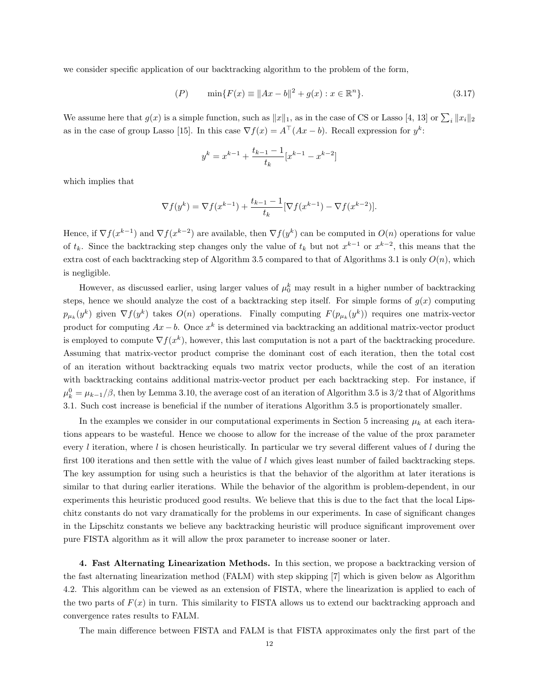we consider specific application of our backtracking algorithm to the problem of the form,

$$
(P) \qquad \min\{F(x) \equiv \|Ax - b\|^2 + g(x) : x \in \mathbb{R}^n\}.
$$
\n(3.17)

We assume here that  $g(x)$  is a simple function, such as  $||x||_1$ , as in the case of CS or Lasso [4, 13] or  $\sum_i ||x_i||_2$ as in the case of group Lasso [15]. In this case  $\nabla f(x) = A^{\top}(Ax - b)$ . Recall expression for  $y^k$ :

$$
y^{k} = x^{k-1} + \frac{t_{k-1} - 1}{t_{k}} [x^{k-1} - x^{k-2}]
$$

which implies that

$$
\nabla f(y^k) = \nabla f(x^{k-1}) + \frac{t_{k-1} - 1}{t_k} [\nabla f(x^{k-1}) - \nabla f(x^{k-2})].
$$

Hence, if  $\nabla f(x^{k-1})$  and  $\nabla f(x^{k-2})$  are available, then  $\nabla f(y^k)$  can be computed in  $O(n)$  operations for value of  $t_k$ . Since the backtracking step changes only the value of  $t_k$  but not  $x^{k-1}$  or  $x^{k-2}$ , this means that the extra cost of each backtracking step of Algorithm 3.5 compared to that of Algorithms 3.1 is only  $O(n)$ , which is negligible.

However, as discussed earlier, using larger values of  $\mu_0^k$  may result in a higher number of backtracking steps, hence we should analyze the cost of a backtracking step itself. For simple forms of  $g(x)$  computing  $p_{\mu_k}(y^k)$  given  $\nabla f(y^k)$  takes  $O(n)$  operations. Finally computing  $F(p_{\mu_k}(y^k))$  requires one matrix-vector product for computing  $Ax - b$ . Once  $x^k$  is determined via backtracking an additional matrix-vector product is employed to compute  $\nabla f(x^k)$ , however, this last computation is not a part of the backtracking procedure. Assuming that matrix-vector product comprise the dominant cost of each iteration, then the total cost of an iteration without backtracking equals two matrix vector products, while the cost of an iteration with backtracking contains additional matrix-vector product per each backtracking step. For instance, if  $\mu_k^0 = \mu_{k-1}/\beta$ , then by Lemma 3.10, the average cost of an iteration of Algorithm 3.5 is 3/2 that of Algorithms 3.1. Such cost increase is beneficial if the number of iterations Algorithm 3.5 is proportionately smaller.

In the examples we consider in our computational experiments in Section 5 increasing  $\mu_k$  at each iterations appears to be wasteful. Hence we choose to allow for the increase of the value of the prox parameter every l iteration, where l is chosen heuristically. In particular we try several different values of l during the first 100 iterations and then settle with the value of  $l$  which gives least number of failed backtracking steps. The key assumption for using such a heuristics is that the behavior of the algorithm at later iterations is similar to that during earlier iterations. While the behavior of the algorithm is problem-dependent, in our experiments this heuristic produced good results. We believe that this is due to the fact that the local Lipschitz constants do not vary dramatically for the problems in our experiments. In case of significant changes in the Lipschitz constants we believe any backtracking heuristic will produce significant improvement over pure FISTA algorithm as it will allow the prox parameter to increase sooner or later.

4. Fast Alternating Linearization Methods. In this section, we propose a backtracking version of the fast alternating linearization method (FALM) with step skipping [7] which is given below as Algorithm 4.2. This algorithm can be viewed as an extension of FISTA, where the linearization is applied to each of the two parts of  $F(x)$  in turn. This similarity to FISTA allows us to extend our backtracking approach and convergence rates results to FALM.

The main difference between FISTA and FALM is that FISTA approximates only the first part of the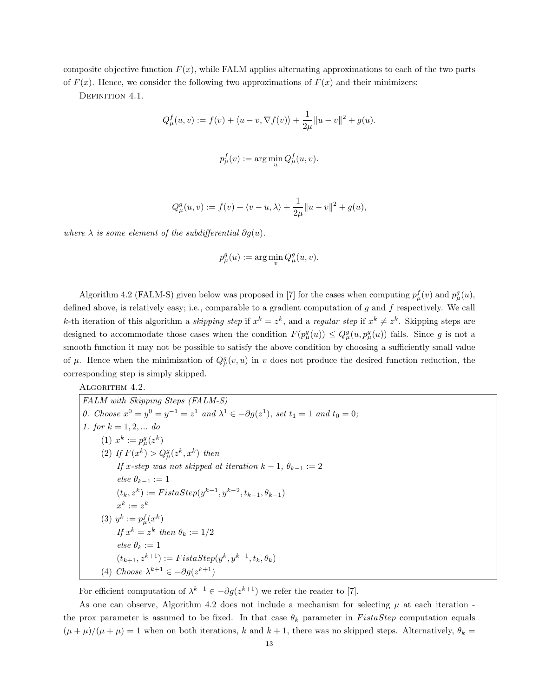composite objective function  $F(x)$ , while FALM applies alternating approximations to each of the two parts of  $F(x)$ . Hence, we consider the following two approximations of  $F(x)$  and their minimizers:

DEFINITION 4.1.

$$
Q_{\mu}^{f}(u, v) := f(v) + \langle u - v, \nabla f(v) \rangle + \frac{1}{2\mu} ||u - v||^{2} + g(u).
$$

$$
p^f_\mu(v) := \arg\min_u Q^f_\mu(u,v).
$$

$$
Q_{\mu}^{g}(u, v) := f(v) + \langle v - u, \lambda \rangle + \frac{1}{2\mu} ||u - v||^{2} + g(u),
$$

where  $\lambda$  is some element of the subdifferential  $\partial g(u)$ .

$$
p^g_\mu(u) := \arg\min_v Q^g_\mu(u,v).
$$

Algorithm 4.2 (FALM-S) given below was proposed in [7] for the cases when computing  $p_{\mu}^{f}(v)$  and  $p_{\mu}^{g}(u)$ , defined above, is relatively easy; i.e., comparable to a gradient computation of g and f respectively. We call k-th iteration of this algorithm a *skipping step* if  $x^k = z^k$ , and a *regular step* if  $x^k \neq z^k$ . Skipping steps are designed to accommodate those cases when the condition  $F(p_\mu^g(u)) \leq Q_\mu^g(u, p_\mu^g(u))$  fails. Since g is not a smooth function it may not be possible to satisfy the above condition by choosing a sufficiently small value of  $\mu$ . Hence when the minimization of  $Q_{\mu}^g(v, u)$  in v does not produce the desired function reduction, the corresponding step is simply skipped.

ALGORITHM 4.2.

FALM with Skipping Steps (FALM-S) 0. Choose  $x^0 = y^0 = y^{-1} = z^1$  and  $\lambda^1 \in -\partial g(z^1)$ , set  $t_1 = 1$  and  $t_0 = 0$ ; 1. for  $k = 1, 2, ...$  do (1)  $x^k := p^g_\mu(z^k)$ (2) If  $F(x^k) > Q^g_{\mu}(z^k, x^k)$  then If x-step was not skipped at iteration  $k - 1$ ,  $\theta_{k-1} := 2$ else $\theta_{k-1} := 1$  $(t_k, z^k) := \text{F} \text{i} \text{st} \text{a} \text{S} \text{t} \text{e} \text{p} (y^{k-1}, y^{k-2}, t_{k-1}, \theta_{k-1})$  $x^k := z^k$ (3)  $y^k := p_\mu^f(x^k)$ If  $x^k = z^k$  then  $\theta_k := 1/2$ else  $\theta_k := 1$  $(t_{k+1}, z^{k+1}) := Fist aStep(y^k, y^{k-1}, t_k, \theta_k)$ (4) Choose  $\lambda^{k+1} \in -\partial g(z^{k+1})$ 

For efficient computation of  $\lambda^{k+1} \in -\partial g(z^{k+1})$  we refer the reader to [7].

As one can observe, Algorithm 4.2 does not include a mechanism for selecting  $\mu$  at each iteration the prox parameter is assumed to be fixed. In that case  $\theta_k$  parameter in FistaStep computation equals  $(\mu + \mu)/(\mu + \mu) = 1$  when on both iterations, k and  $k + 1$ , there was no skipped steps. Alternatively,  $\theta_k =$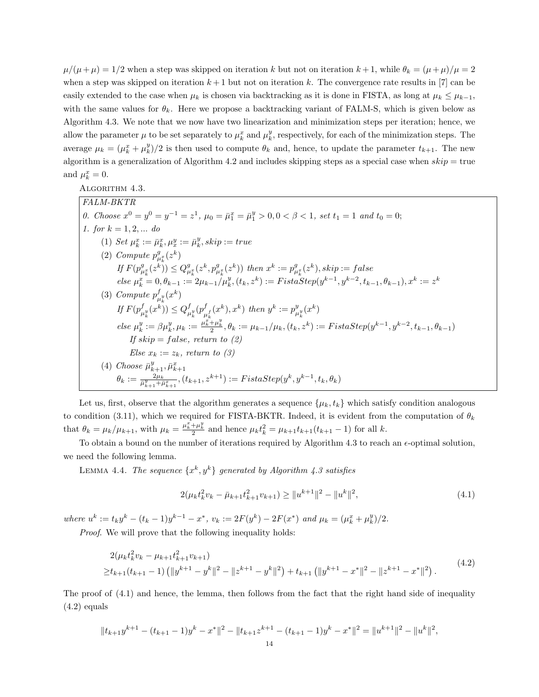$\mu/(\mu+\mu) = 1/2$  when a step was skipped on iteration k but not on iteration  $k+1$ , while  $\theta_k = (\mu+\mu)/\mu = 2$ when a step was skipped on iteration  $k + 1$  but not on iteration k. The convergence rate results in [7] can be easily extended to the case when  $\mu_k$  is chosen via backtracking as it is done in FISTA, as long at  $\mu_k \leq \mu_{k-1}$ , with the same values for  $\theta_k$ . Here we propose a backtracking variant of FALM-S, which is given below as Algorithm 4.3. We note that we now have two linearization and minimization steps per iteration; hence, we allow the parameter  $\mu$  to be set separately to  $\mu_k^x$  and  $\mu_k^y$ , respectively, for each of the minimization steps. The average  $\mu_k = (\mu_k^x + \mu_k^y)/2$  is then used to compute  $\theta_k$  and, hence, to update the parameter  $t_{k+1}$ . The new algorithm is a generalization of Algorithm 4.2 and includes skipping steps as a special case when  $skip = true$ and  $\mu_k^x = 0$ .

ALGORITHM 4.3.

FALM-BKTR 0. Choose  $x^0 = y^0 = y^{-1} = z^1$ ,  $\mu_0 = \bar{\mu}_1^x = \bar{\mu}_1^y > 0, 0 < \beta < 1$ , set  $t_1 = 1$  and  $t_0 = 0$ ; 1. for  $k = 1, 2, ...$  do (1) Set  $\mu_k^x := \bar{\mu}_k^x, \mu_x^y := \bar{\mu}_k^y, skip := true$ (2) Compute  $p_{\mu_k^x}^g(z^k)$ If  $F(p_{\mu_k^x}^g(z^k)) \leq Q_{\mu_k^x}^g(z^k, p_{\mu_k^x}^g(z^k))$  then  $x^k := p_{\mu_k^x}^g(z^k)$ , skip  $:=$  false  $else \mu_k^x = 0, \theta_{k-1} := 2\mu_{k-1}/\mu_k^y$ ,  $(t_k, z^k) := First \mathit{aStep}(y^{k-1}, y^{k-2}, t_{k-1}, \theta_{k-1}), x^k := z^k$ (3) Compute  $p_{\mu}^{f}$  $^f_{\mu_\nu^y}(x^k)$ If  $F(p_{.y}^f(x^k))$  $_{\mu_k^y}^f(x^k)) \leq Q_\mu^f$  $_{\mu_k^y}^f(p_\mu^f$  $\int_{\mu_k^f}^f(x^k), x^k)$  then  $y^k := p_{\mu_k^f}^y$  $_{\mu _{k}^{y}}^{y}(x^{k})$  $else \mu_k^y := \beta \mu_k^y, \mu_k := \frac{\mu_k^{x} + \mu_k^y}{2}, \theta_k := \mu_{k-1}/\mu_k, (t_k, z^k) := \text{FistaStep}(y^{k-1}, y^{k-2}, t_{k-1}, \theta_{k-1})$ If  $skip = false$ , return to  $(2)$ Else  $x_k := z_k$ , return to (3) (4) Choose  $\bar{\mu}_{k+1}^y, \bar{\mu}_{k+1}^x$  $\theta_k:=\frac{2\mu_k}{\bar{\mu}^y_{k+1}+\bar{\mu}^x_{k+1}},(t_{k+1},z^{k+1}):=Fistastep(y^k,y^{k-1},t_k,\theta_k)$ 

Let us, first, observe that the algorithm generates a sequence  $\{\mu_k, t_k\}$  which satisfy condition analogous to condition (3.11), which we required for FISTA-BKTR. Indeed, it is evident from the computation of  $\theta_k$ that  $\theta_k = \mu_k / \mu_{k+1}$ , with  $\mu_k = \frac{\mu_k^2 + \mu_k^y}{2}$  and hence  $\mu_k t_k^2 = \mu_{k+1} t_{k+1} (t_{k+1} - 1)$  for all k.

To obtain a bound on the number of iterations required by Algorithm 4.3 to reach an  $\epsilon$ -optimal solution, we need the following lemma.

LEMMA 4.4. The sequence  $\{x^k, y^k\}$  generated by Algorithm 4.3 satisfies

$$
2(\mu_k t_k^2 v_k - \bar{\mu}_{k+1} t_{k+1}^2 v_{k+1}) \ge ||u^{k+1}||^2 - ||u^k||^2,
$$
\n(4.1)

where  $u^k := t_k y^k - (t_k - 1)y^{k-1} - x^*, v_k := 2F(y^k) - 2F(x^*)$  and  $\mu_k = (\mu_k^x + \mu_k^y)/2$ .

Proof. We will prove that the following inequality holds:

$$
2(\mu_k t_k^2 v_k - \mu_{k+1} t_{k+1}^2 v_{k+1})
$$
  
\n
$$
\geq t_{k+1} (t_{k+1} - 1) \left( \|y^{k+1} - y^k\|^2 - \|z^{k+1} - y^k\|^2 \right) + t_{k+1} \left( \|y^{k+1} - x^*\|^2 - \|z^{k+1} - x^*\|^2 \right).
$$
\n(4.2)

The proof of (4.1) and hence, the lemma, then follows from the fact that the right hand side of inequality  $(4.2)$  equals

$$
||t_{k+1}y^{k+1} - (t_{k+1} - 1)y^k - x^*||^2 - ||t_{k+1}z^{k+1} - (t_{k+1} - 1)y^k - x^*||^2 = ||u^{k+1}||^2 - ||u^k||^2,
$$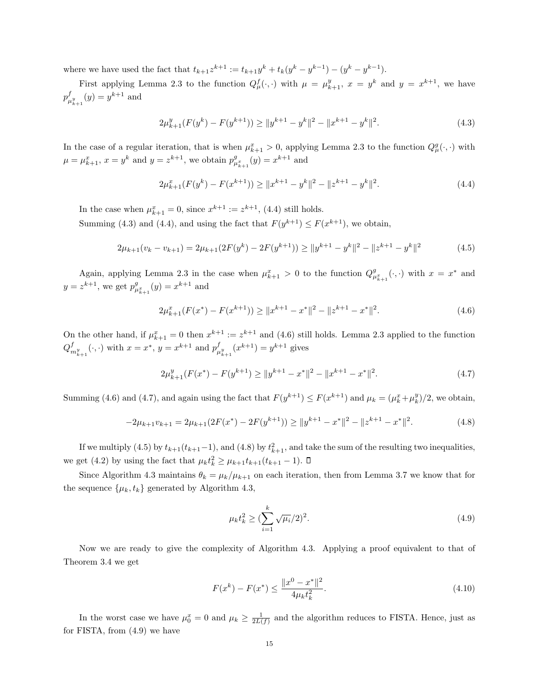where we have used the fact that  $t_{k+1}z^{k+1} := t_{k+1}y^k + t_k(y^k - y^{k-1}) - (y^k - y^{k-1}).$ 

First applying Lemma 2.3 to the function  $Q_{\mu}^{f}(\cdot,\cdot)$  with  $\mu = \mu_{k+1}^{y}$ ,  $x = y^{k}$  and  $y = x^{k+1}$ , we have  $p^f$  $_{\mu_{k+1}^{y}}^{f}(y) = y^{k+1}$  and

$$
2\mu_{k+1}^y(F(y^k) - F(y^{k+1})) \ge ||y^{k+1} - y^k||^2 - ||x^{k+1} - y^k||^2. \tag{4.3}
$$

In the case of a regular iteration, that is when  $\mu_{k+1}^x > 0$ , applying Lemma 2.3 to the function  $Q_\mu^g(\cdot, \cdot)$  with  $\mu = \mu_{k+1}^x, x = y^k$  and  $y = z^{k+1}$ , we obtain  $p_{\mu_{k+1}}^g(y) = x^{k+1}$  and

$$
2\mu_{k+1}^x(F(y^k) - F(x^{k+1})) \ge ||x^{k+1} - y^k||^2 - ||z^{k+1} - y^k||^2. \tag{4.4}
$$

In the case when  $\mu_{k+1}^x = 0$ , since  $x^{k+1} := z^{k+1}$ , (4.4) still holds.

Summing (4.3) and (4.4), and using the fact that  $F(y^{k+1}) \leq F(x^{k+1})$ , we obtain,

$$
2\mu_{k+1}(v_k - v_{k+1}) = 2\mu_{k+1}(2F(y^k) - 2F(y^{k+1})) \ge ||y^{k+1} - y^k||^2 - ||z^{k+1} - y^k||^2 \tag{4.5}
$$

Again, applying Lemma 2.3 in the case when  $\mu_{k+1}^x > 0$  to the function  $Q_{\mu_{k+1}^x}^g(\cdot,\cdot)$  with  $x = x^*$  and  $y = z^{k+1}$ , we get  $p_{\mu_{k+1}^x}^g(y) = x^{k+1}$  and

$$
2\mu_{k+1}^x(F(x^*) - F(x^{k+1})) \ge ||x^{k+1} - x^*||^2 - ||z^{k+1} - x^*||^2. \tag{4.6}
$$

On the other hand, if  $\mu_{k+1}^x = 0$  then  $x^{k+1} := z^{k+1}$  and (4.6) still holds. Lemma 2.3 applied to the function  $Q_{m_{k+1}}^f(\cdot, \cdot)$  with  $x = x^*$ ,  $y = x^{k+1}$  and  $p_{\mu}^f$  $\mu_{k+1}^{f}(x^{k+1}) = y^{k+1}$  gives

$$
2\mu_{k+1}^y(F(x^*) - F(y^{k+1}) \ge ||y^{k+1} - x^*||^2 - ||x^{k+1} - x^*||^2. \tag{4.7}
$$

Summing (4.6) and (4.7), and again using the fact that  $F(y^{k+1}) \le F(x^{k+1})$  and  $\mu_k = (\mu_k^x + \mu_k^y)/2$ , we obtain,

$$
-2\mu_{k+1}v_{k+1} = 2\mu_{k+1}(2F(x^*) - 2F(y^{k+1})) \ge ||y^{k+1} - x^*||^2 - ||z^{k+1} - x^*||^2. \tag{4.8}
$$

If we multiply (4.5) by  $t_{k+1}(t_{k+1}-1)$ , and (4.8) by  $t_{k+1}^2$ , and take the sum of the resulting two inequalities, we get (4.2) by using the fact that  $\mu_k t_k^2 \ge \mu_{k+1} t_{k+1}(t_{k+1} - 1)$ .

Since Algorithm 4.3 maintains  $\theta_k = \mu_k/\mu_{k+1}$  on each iteration, then from Lemma 3.7 we know that for the sequence  $\{\mu_k, t_k\}$  generated by Algorithm 4.3,

$$
\mu_k t_k^2 \ge \left(\sum_{i=1}^k \sqrt{\mu_i}/2\right)^2. \tag{4.9}
$$

Now we are ready to give the complexity of Algorithm 4.3. Applying a proof equivalent to that of Theorem 3.4 we get

$$
F(x^{k}) - F(x^{*}) \le \frac{\|x^{0} - x^{*}\|^{2}}{4\mu_{k}t_{k}^{2}}.
$$
\n(4.10)

In the worst case we have  $\mu_0^x = 0$  and  $\mu_k \ge \frac{1}{2L(f)}$  and the algorithm reduces to FISTA. Hence, just as for FISTA, from (4.9) we have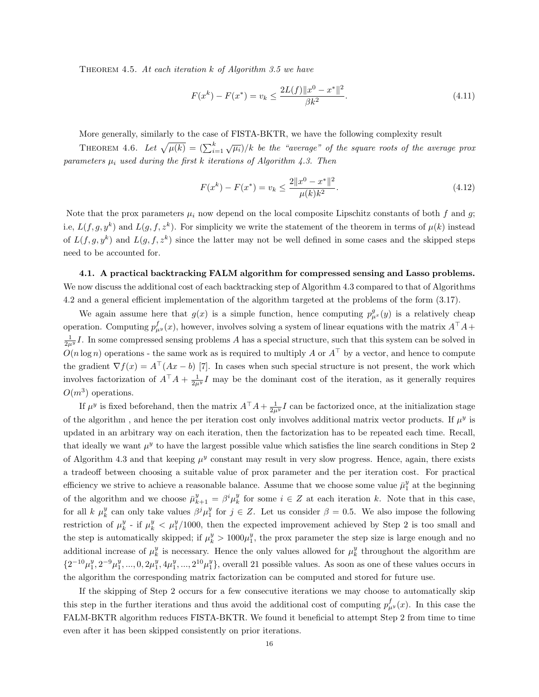THEOREM 4.5. At each iteration  $k$  of Algorithm 3.5 we have

$$
F(x^{k}) - F(x^{*}) = v_{k} \le \frac{2L(f) \|x^{0} - x^{*}\|^{2}}{\beta k^{2}}.
$$
\n(4.11)

More generally, similarly to the case of FISTA-BKTR, we have the following complexity result

THEOREM 4.6. Let  $\sqrt{\mu(k)} = (\sum_{i=1}^k \sqrt{\mu_i})/k$  be the "average" of the square roots of the average prox parameters  $\mu_i$  used during the first k iterations of Algorithm 4.3. Then

$$
F(x^{k}) - F(x^{*}) = v_{k} \le \frac{2||x^{0} - x^{*}||^{2}}{\mu(k)k^{2}}.
$$
\n(4.12)

Note that the prox parameters  $\mu_i$  now depend on the local composite Lipschitz constants of both f and g; i.e,  $L(f, g, y^k)$  and  $L(g, f, z^k)$ . For simplicity we write the statement of the theorem in terms of  $\mu(k)$  instead of  $L(f, g, y^k)$  and  $L(g, f, z^k)$  since the latter may not be well defined in some cases and the skipped steps need to be accounted for.

4.1. A practical backtracking FALM algorithm for compressed sensing and Lasso problems. We now discuss the additional cost of each backtracking step of Algorithm 4.3 compared to that of Algorithms 4.2 and a general efficient implementation of the algorithm targeted at the problems of the form (3.17).

We again assume here that  $g(x)$  is a simple function, hence computing  $p_{\mu}^{g}(y)$  is a relatively cheap operation. Computing  $p^f_{\mu^y}(x)$ , however, involves solving a system of linear equations with the matrix  $A^{\top}A +$  $\frac{1}{2\mu^y}I$ . In some compressed sensing problems A has a special structure, such that this system can be solved in  $O(n \log n)$  operations - the same work as is required to multiply A or  $A^{\top}$  by a vector, and hence to compute the gradient  $\nabla f(x) = A^{\top}(Ax - b)$  [7]. In cases when such special structure is not present, the work which involves factorization of  $A^{\top}A + \frac{1}{2\mu^y}I$  may be the dominant cost of the iteration, as it generally requires  $O(m^3)$  operations.

If  $\mu^y$  is fixed beforehand, then the matrix  $A^{\top}A + \frac{1}{2\mu^y}I$  can be factorized once, at the initialization stage of the algorithm, and hence the per iteration cost only involves additional matrix vector products. If  $\mu^y$  is updated in an arbitrary way on each iteration, then the factorization has to be repeated each time. Recall, that ideally we want  $\mu^y$  to have the largest possible value which satisfies the line search conditions in Step 2 of Algorithm 4.3 and that keeping  $\mu^y$  constant may result in very slow progress. Hence, again, there exists a tradeoff between choosing a suitable value of prox parameter and the per iteration cost. For practical efficiency we strive to achieve a reasonable balance. Assume that we choose some value  $\bar{\mu}_1^y$  at the beginning of the algorithm and we choose  $\bar{\mu}_{k+1}^y = \beta^i \mu_k^y$  for some  $i \in \mathbb{Z}$  at each iteration k. Note that in this case, for all k  $\mu_k^y$  can only take values  $\beta^j \mu_1^y$  for  $j \in Z$ . Let us consider  $\beta = 0.5$ . We also impose the following restriction of  $\mu_k^y$  - if  $\mu_k^y < \mu_1^y/1000$ , then the expected improvement achieved by Step 2 is too small and the step is automatically skipped; if  $\mu_k^y > 1000 \mu_1^y$ , the prox parameter the step size is large enough and no additional increase of  $\mu_k^y$  is necessary. Hence the only values allowed for  $\mu_k^y$  throughout the algorithm are  $\{2^{-10}\mu_1^y, 2^{-9}\mu_1^y, ..., 0, 2\mu_1^y, 4\mu_1^y, ..., 2^{10}\mu_1^y\}$ , overall 21 possible values. As soon as one of these values occurs in the algorithm the corresponding matrix factorization can be computed and stored for future use.

If the skipping of Step 2 occurs for a few consecutive iterations we may choose to automatically skip this step in the further iterations and thus avoid the additional cost of computing  $p_{\mu}^{f}(x)$ . In this case the FALM-BKTR algorithm reduces FISTA-BKTR. We found it beneficial to attempt Step 2 from time to time even after it has been skipped consistently on prior iterations.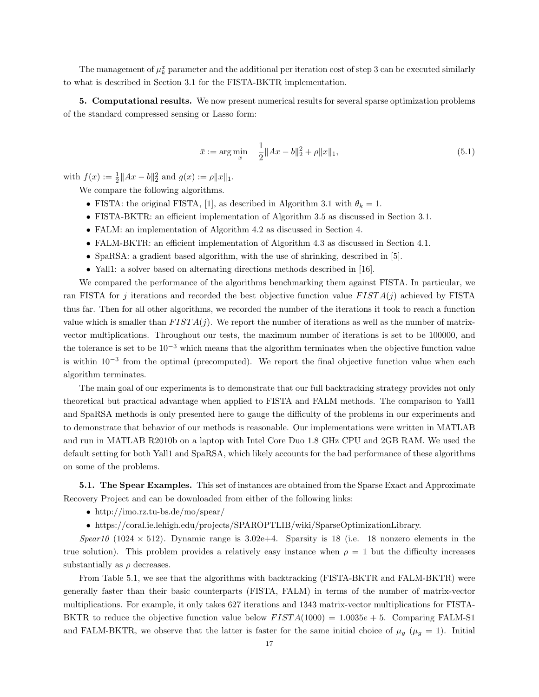The management of  $\mu_k^x$  parameter and the additional per iteration cost of step 3 can be executed similarly to what is described in Section 3.1 for the FISTA-BKTR implementation.

5. Computational results. We now present numerical results for several sparse optimization problems of the standard compressed sensing or Lasso form:

$$
\bar{x} := \arg\min_{x} \quad \frac{1}{2} \|Ax - b\|_2^2 + \rho \|x\|_1,\tag{5.1}
$$

with  $f(x) := \frac{1}{2} ||Ax - b||_2^2$  and  $g(x) := \rho ||x||_1$ .

We compare the following algorithms.

- FISTA: the original FISTA, [1], as described in Algorithm 3.1 with  $\theta_k = 1$ .
- FISTA-BKTR: an efficient implementation of Algorithm 3.5 as discussed in Section 3.1.
- FALM: an implementation of Algorithm 4.2 as discussed in Section 4.
- FALM-BKTR: an efficient implementation of Algorithm 4.3 as discussed in Section 4.1.
- SpaRSA: a gradient based algorithm, with the use of shrinking, described in [5].
- Yall1: a solver based on alternating directions methods described in [16].

We compared the performance of the algorithms benchmarking them against FISTA. In particular, we ran FISTA for j iterations and recorded the best objective function value  $FISTA(j)$  achieved by FISTA thus far. Then for all other algorithms, we recorded the number of the iterations it took to reach a function value which is smaller than  $FISTA(j)$ . We report the number of iterations as well as the number of matrixvector multiplications. Throughout our tests, the maximum number of iterations is set to be 100000, and the tolerance is set to be  $10^{-3}$  which means that the algorithm terminates when the objective function value is within 10<sup>−</sup><sup>3</sup> from the optimal (precomputed). We report the final objective function value when each algorithm terminates.

The main goal of our experiments is to demonstrate that our full backtracking strategy provides not only theoretical but practical advantage when applied to FISTA and FALM methods. The comparison to Yall1 and SpaRSA methods is only presented here to gauge the difficulty of the problems in our experiments and to demonstrate that behavior of our methods is reasonable. Our implementations were written in MATLAB and run in MATLAB R2010b on a laptop with Intel Core Duo 1.8 GHz CPU and 2GB RAM. We used the default setting for both Yall1 and SpaRSA, which likely accounts for the bad performance of these algorithms on some of the problems.

5.1. The Spear Examples. This set of instances are obtained from the Sparse Exact and Approximate Recovery Project and can be downloaded from either of the following links:

- http://imo.rz.tu-bs.de/mo/spear/
- https://coral.ie.lehigh.edu/projects/SPAROPTLIB/wiki/SparseOptimizationLibrary.

Spear10 (1024  $\times$  512). Dynamic range is 3.02e+4. Sparsity is 18 (i.e. 18 nonzero elements in the true solution). This problem provides a relatively easy instance when  $\rho = 1$  but the difficulty increases substantially as  $\rho$  decreases.

From Table 5.1, we see that the algorithms with backtracking (FISTA-BKTR and FALM-BKTR) were generally faster than their basic counterparts (FISTA, FALM) in terms of the number of matrix-vector multiplications. For example, it only takes 627 iterations and 1343 matrix-vector multiplications for FISTA-BKTR to reduce the objective function value below  $FISTA(1000) = 1.0035e + 5$ . Comparing FALM-S1 and FALM-BKTR, we observe that the latter is faster for the same initial choice of  $\mu_g$  ( $\mu_g = 1$ ). Initial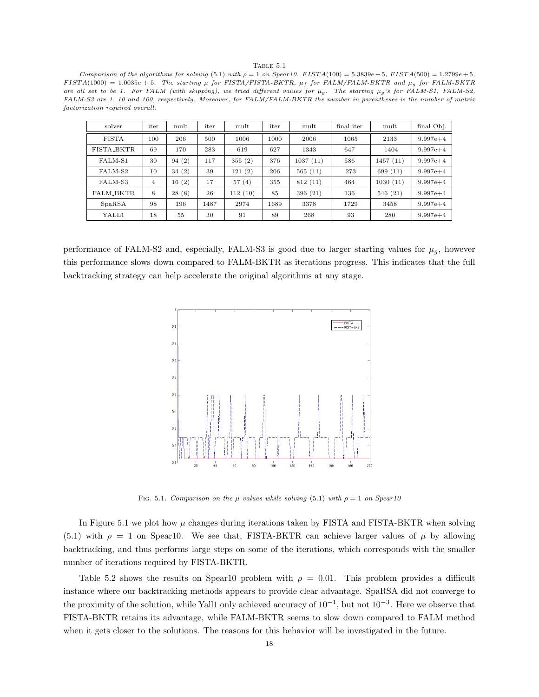## TABLE 5.1

Comparison of the algorithms for solving (5.1) with  $\rho = 1$  on Spear10. FIST  $A(100) = 5.3839e + 5$ , FIST  $A(500) = 1.2799e + 5$ ,  $FISTA(1000) = 1.0035e + 5$ . The starting  $\mu$  for FISTA/FISTA-BKTR,  $\mu_f$  for FALM/FALM-BKTR and  $\mu_g$  for FALM-BKTR are all set to be 1. For FALM (with skipping), we tried different values for  $\mu_g$ . The starting  $\mu_g$ 's for FALM-S1, FALM-S2, FALM-S3 are 1, 10 and 100, respectively. Moreover, for FALM/FALM-BKTR the number in parentheses is the number of matrix factorization required overall.

| solver            | iter           | mult  | iter | mult    | iter | mult     | final iter | mult     | final Obj.   |
|-------------------|----------------|-------|------|---------|------|----------|------------|----------|--------------|
| <b>FISTA</b>      | 100            | 206   | 500  | 1006    | 1000 | 2006     | 1065       | 2133     | $9.997e + 4$ |
| <b>FISTA_BKTR</b> | 69             | 170   | 283  | 619     | 627  | 1343     | 647        | 1404     | $9.997e + 4$ |
| FALM-S1           | 30             | 94(2) | 117  | 355(2)  | 376  | 1037(11) | 586        | 1457(11) | $9.997e + 4$ |
| FALM-S2           | 10             | 34(2) | 39   | 121(2)  | 206  | 565(11)  | 273        | 699 (11) | $9.997e + 4$ |
| FALM-S3           | $\overline{4}$ | 16(2) | 17   | 57(4)   | 355  | 812(11)  | 464        | 1030(11) | $9.997e + 4$ |
| FALM_BKTR         | 8              | 28(8) | 26   | 112(10) | 85   | 396(21)  | 136        | 546(21)  | $9.997e + 4$ |
| SpaRSA            | 98             | 196   | 1487 | 2974    | 1689 | 3378     | 1729       | 3458     | $9.997e+4$   |
| YALL1             | 18             | 55    | 30   | 91      | 89   | 268      | 93         | 280      | $9.997e+4$   |

performance of FALM-S2 and, especially, FALM-S3 is good due to larger starting values for  $\mu_q$ , however this performance slows down compared to FALM-BKTR as iterations progress. This indicates that the full backtracking strategy can help accelerate the original algorithms at any stage.



FIG. 5.1. Comparison on the  $\mu$  values while solving (5.1) with  $\rho = 1$  on Spear10

In Figure 5.1 we plot how  $\mu$  changes during iterations taken by FISTA and FISTA-BKTR when solving (5.1) with  $\rho = 1$  on Spear10. We see that, FISTA-BKTR can achieve larger values of  $\mu$  by allowing backtracking, and thus performs large steps on some of the iterations, which corresponds with the smaller number of iterations required by FISTA-BKTR.

Table 5.2 shows the results on Spear10 problem with  $\rho = 0.01$ . This problem provides a difficult instance where our backtracking methods appears to provide clear advantage. SpaRSA did not converge to the proximity of the solution, while Yall1 only achieved accuracy of 10<sup>−</sup><sup>1</sup> , but not 10<sup>−</sup><sup>3</sup> . Here we observe that FISTA-BKTR retains its advantage, while FALM-BKTR seems to slow down compared to FALM method when it gets closer to the solutions. The reasons for this behavior will be investigated in the future.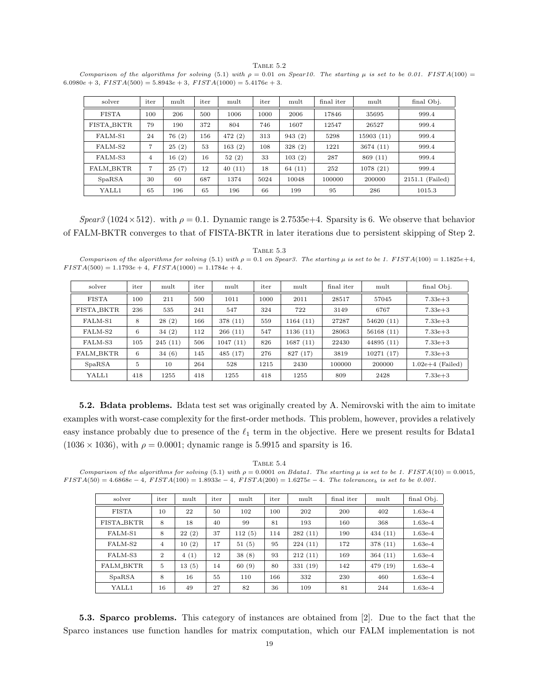TABLE 5.2 Comparison of the algorithms for solving (5.1) with  $\rho = 0.01$  on Spear10. The starting  $\mu$  is set to be 0.01. FISTA(100) =  $6.0980e + 3$ ,  $FISTA(500) = 5.8943e + 3$ ,  $FISTA(1000) = 5.4176e + 3$ .

| solver            | iter | mult  | iter | mult   | iter | mult   | final iter | mult      | final Obj.      |
|-------------------|------|-------|------|--------|------|--------|------------|-----------|-----------------|
| <b>FISTA</b>      | 100  | 206   | 500  | 1006   | 1000 | 2006   | 17846      | 35695     | 999.4           |
| <b>FISTA_BKTR</b> | 79   | 190   | 372  | 804    | 746  | 1607   | 12547      | 26527     | 999.4           |
| FALM-S1           | 24   | 76(2) | 156  | 472(2) | 313  | 943(2) | 5298       | 15903(11) | 999.4           |
| FALM-S2           | 7    | 25(2) | 53   | 163(2) | 108  | 328(2) | 1221       | 3674(11)  | 999.4           |
| FALM-S3           | 4    | 16(2) | 16   | 52(2)  | 33   | 103(2) | 287        | 869 (11)  | 999.4           |
| <b>FALM BKTR.</b> | 7    | 25(7) | 12   | 40(11) | 18   | 64(11) | 252        | 1078(21)  | 999.4           |
| SpaRSA            | 30   | 60    | 687  | 1374   | 5024 | 10048  | 100000     | 200000    | 2151.1 (Failed) |
| YALL1             | 65   | 196   | 65   | 196    | 66   | 199    | 95         | 286       | 1015.3          |

Spear3 (1024×512). with  $\rho = 0.1$ . Dynamic range is 2.7535e+4. Sparsity is 6. We observe that behavior of FALM-BKTR converges to that of FISTA-BKTR in later iterations due to persistent skipping of Step 2.

TABLE  $5.3$ Comparison of the algorithms for solving (5.1) with  $\rho = 0.1$  on Spear3. The starting  $\mu$  is set to be 1. FISTA(100) = 1.1825e+4,  $FISTA(500) = 1.1793e + 4, FISTA(1000) = 1.1784e + 4.$ 

| solver           | iter | mult    | iter | mult     | iter | mult     | final iter | mult      | final Obj.         |
|------------------|------|---------|------|----------|------|----------|------------|-----------|--------------------|
| <b>FISTA</b>     | 100  | 211     | 500  | 1011     | 1000 | 2011     | 28517      | 57045     | $7.33e + 3$        |
| FISTA_BKTR       | 236  | 535     | 241  | 547      | 324  | 722      | 3149       | 6767      | $7.33e + 3$        |
| FALM-S1          | 8    | 28(2)   | 166  | 378 (11) | 559  | 1164(11) | 27287      | 54620(11) | $7.33e + 3$        |
| FALM-S2          | 6    | 34(2)   | 112  | 266(11)  | 547  | 1136(11) | 28063      | 56168(11) | $7.33e + 3$        |
| FALM-S3          | 105  | 245(11) | 506  | 1047(11) | 826  | 1687(11) | 22430      | 44895(11) | $7.33e + 3$        |
| <b>FALM_BKTR</b> | 6    | 34(6)   | 145  | 485(17)  | 276  | 827 (17) | 3819       | 10271(17) | $7.33e + 3$        |
| SpaRSA           | 5    | 10      | 264  | 528      | 1215 | 2430     | 100000     | 200000    | $1.02e+4$ (Failed) |
| YALL1            | 418  | 1255    | 418  | 1255     | 418  | 1255     | 809        | 2428      | $7.33e + 3$        |

5.2. Bdata problems. Bdata test set was originally created by A. Nemirovski with the aim to imitate examples with worst-case complexity for the first-order methods. This problem, however, provides a relatively easy instance probably due to presence of the  $\ell_1$  term in the objective. Here we present results for Bdata1  $(1036 \times 1036)$ , with  $\rho = 0.0001$ ; dynamic range is 5.9915 and sparsity is 16.

TABLE  $5.4$ Comparison of the algorithms for solving (5.1) with  $\rho = 0.0001$  on Bdata1. The starting  $\mu$  is set to be 1. FIST A(10) = 0.0015,  $FISTA(50) = 4.6868e - 4$ ,  $FISTA(100) = 1.8933e - 4$ ,  $FISTA(200) = 1.6275e - 4$ . The tolerance<sub>b</sub> is set to be 0.001.

| solver       | iter           | mult      | iter | mult   | iter | mult     | final iter | mult     | final Obj. |
|--------------|----------------|-----------|------|--------|------|----------|------------|----------|------------|
| <b>FISTA</b> | 10             | 22        | 50   | 102    | 100  | 202      | 200        | 402      | $1.63e-4$  |
| FISTA_BKTR   | 8              | 18        | 40   | 99     | 81   | 193      | 160        | 368      | $1.63e-4$  |
| FALM-S1      | 8              | (2)<br>22 | 37   | 112(5) | 114  | 282(11)  | 190        | 434(11)  | $1.63e-4$  |
| FALM-S2      | $\overline{4}$ | 10(2)     | 17   | 51(5)  | 95   | 224(11)  | 172        | 378 (11) | $1.63e-4$  |
| FALM-S3      | $\overline{2}$ | 4(1)      | 12   | 38(8)  | 93   | 212(11)  | 169        | 364(11)  | $1.63e-4$  |
| FALM_BKTR    | 5              | 13(5)     | 14   | 60(9)  | 80   | 331 (19) | 142        | 479 (19) | $1.63e-4$  |
| SpaRSA       | 8              | 16        | 55   | 110    | 166  | 332      | 230        | 460      | $1.63e-4$  |
| YALL1        | 16             | 49        | 27   | 82     | 36   | 109      | 81         | 244      | $1.63e-4$  |

5.3. Sparco problems. This category of instances are obtained from [2]. Due to the fact that the Sparco instances use function handles for matrix computation, which our FALM implementation is not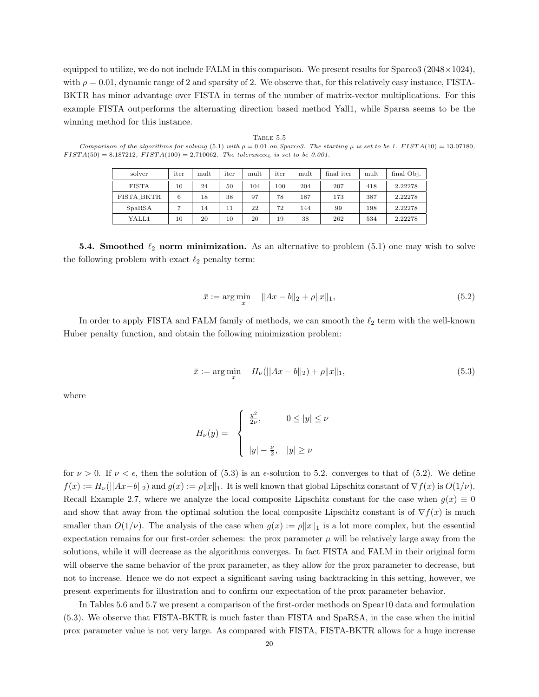equipped to utilize, we do not include FALM in this comparison. We present results for  $Sparco3$  (2048 $\times$ 1024), with  $\rho = 0.01$ , dynamic range of 2 and sparsity of 2. We observe that, for this relatively easy instance, FISTA-BKTR has minor advantage over FISTA in terms of the number of matrix-vector multiplications. For this example FISTA outperforms the alternating direction based method Yall1, while Sparsa seems to be the winning method for this instance.

| solver       | iter | mult | iter | mult | iter | mult | final iter | mult | final Obj. |
|--------------|------|------|------|------|------|------|------------|------|------------|
| <b>FISTA</b> | 10   | 24   | 50   | 104  | 100  | 204  | 207        | 418  | 2.22278    |
| FISTA_BKTR   | 6    | 18   | 38   | 97   | 78   | 187  | 173        | 387  | 2.22278    |
| SpaRSA       |      | 14   | 11   | 22   | 72   | 144  | 99         | 198  | 2.22278    |
| YALL1        | 10   | 20   | 10   | 20   | 19   | 38   | 262        | 534  | 2.22278    |

TABLE 5.5 Comparison of the algorithms for solving (5.1) with  $\rho = 0.01$  on Sparco3. The starting  $\mu$  is set to be 1. FISTA(10) = 13.07180,  $FISTA(50) = 8.187212, FISTA(100) = 2.710062.$  The tolerancee<sub>b</sub> is set to be 0.001.

**5.4. Smoothed**  $\ell_2$  norm minimization. As an alternative to problem (5.1) one may wish to solve the following problem with exact  $\ell_2$  penalty term:

$$
\bar{x} := \arg\min_{x} \quad \|Ax - b\|_2 + \rho \|x\|_1,\tag{5.2}
$$

In order to apply FISTA and FALM family of methods, we can smooth the  $\ell_2$  term with the well-known Huber penalty function, and obtain the following minimization problem:

$$
\bar{x} := \arg\min_{x} \quad H_{\nu}(||Ax - b||_2) + \rho ||x||_1,\tag{5.3}
$$

where

$$
H_{\nu}(y) = \begin{cases} \frac{y^2}{2\nu}, & 0 \le |y| \le \nu \\ \qquad |y| - \frac{\nu}{2}, & |y| \ge \nu \end{cases}
$$

for  $\nu > 0$ . If  $\nu < \epsilon$ , then the solution of (5.3) is an  $\epsilon$ -solution to 5.2. converges to that of (5.2). We define  $f(x) := H_{\nu}(\|Ax-b\|_2)$  and  $g(x) := \rho \|x\|_1$ . It is well known that global Lipschitz constant of  $\nabla f(x)$  is  $O(1/\nu)$ . Recall Example 2.7, where we analyze the local composite Lipschitz constant for the case when  $g(x) \equiv 0$ and show that away from the optimal solution the local composite Lipschitz constant is of  $\nabla f(x)$  is much smaller than  $O(1/\nu)$ . The analysis of the case when  $g(x) := \rho \|x\|_1$  is a lot more complex, but the essential expectation remains for our first-order schemes: the prox parameter  $\mu$  will be relatively large away from the solutions, while it will decrease as the algorithms converges. In fact FISTA and FALM in their original form will observe the same behavior of the prox parameter, as they allow for the prox parameter to decrease, but not to increase. Hence we do not expect a significant saving using backtracking in this setting, however, we present experiments for illustration and to confirm our expectation of the prox parameter behavior.

In Tables 5.6 and 5.7 we present a comparison of the first-order methods on Spear10 data and formulation (5.3). We observe that FISTA-BKTR is much faster than FISTA and SpaRSA, in the case when the initial prox parameter value is not very large. As compared with FISTA, FISTA-BKTR allows for a huge increase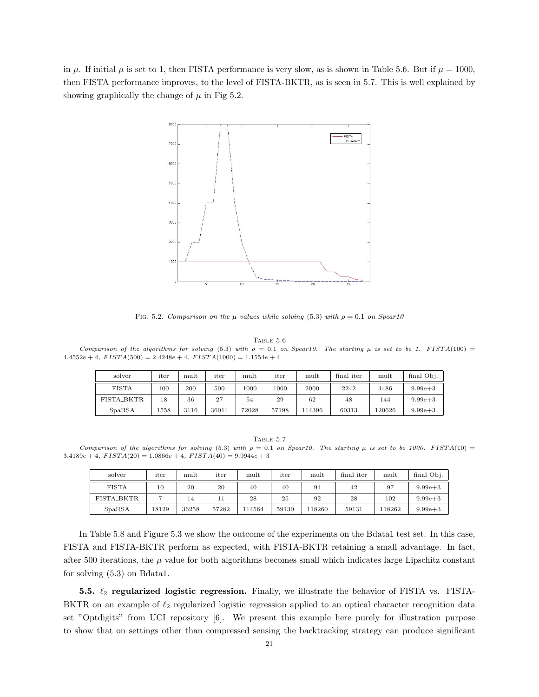in  $\mu$ . If initial  $\mu$  is set to 1, then FISTA performance is very slow, as is shown in Table 5.6. But if  $\mu = 1000$ . then FISTA performance improves, to the level of FISTA-BKTR, as is seen in 5.7. This is well explained by showing graphically the change of  $\mu$  in Fig 5.2.



FIG. 5.2. Comparison on the  $\mu$  values while solving (5.3) with  $\rho = 0.1$  on Spear10

Table 5.6

Comparison of the algorithms for solving (5.3) with  $\rho = 0.1$  on Spear10. The starting  $\mu$  is set to be 1. FISTA(100) =  $4.4552e + 4$ ,  $FISTA(500) = 2.4248e + 4$ ,  $FISTA(1000) = 1.1554e + 4$ 

| solver            | iter | mult | iter  | mult  | iter  | mult   | final iter | mult   | final Obj.  |
|-------------------|------|------|-------|-------|-------|--------|------------|--------|-------------|
| <b>FISTA</b>      | 100  | 200  | 500   | 1000  | 1000  | 2000   | 2242       | 4486   | $9.99e + 3$ |
| <b>FISTA_BKTR</b> | 18   | 36   | 27    | 54    | 29    | 62     | 48         | 144    | $9.99e + 3$ |
| SpaRSA            | 1558 | 3116 | 36014 | 72028 | 57198 | 114396 | 60313      | 120626 | $9.99e + 3$ |

TABLE  $5.7$ Comparison of the algorithms for solving (5.3) with  $\rho = 0.1$  on Spear10. The starting  $\mu$  is set to be 1000. FISTA(10) =  $3.4189e + 4$ ,  $FISTA(20) = 1.0866e + 4$ ,  $FISTA(40) = 9.9944e + 3$ 

| solver            | iter  | mult  | iter  | mult   | iter  | mult   | final iter | mult   | final Obj.  |
|-------------------|-------|-------|-------|--------|-------|--------|------------|--------|-------------|
| <b>FISTA</b>      | 10    | 20    | 20    | 40     | 40    | 91     | 42         | 97     | $9.99e + 3$ |
| <b>FISTA_BKTR</b> |       | 14    | 11    | 28     | 25    | 92     | 28         | 102    | $9.99e + 3$ |
| SpaRSA            | 18129 | 36258 | 57282 | 114564 | 59130 | 118260 | 59131      | 118262 | $9.99e + 3$ |

In Table 5.8 and Figure 5.3 we show the outcome of the experiments on the Bdata1 test set. In this case, FISTA and FISTA-BKTR perform as expected, with FISTA-BKTR retaining a small advantage. In fact, after 500 iterations, the  $\mu$  value for both algorithms becomes small which indicates large Lipschitz constant for solving (5.3) on Bdata1.

5.5.  $\ell_2$  regularized logistic regression. Finally, we illustrate the behavior of FISTA vs. FISTA-BKTR on an example of  $\ell_2$  regularized logistic regression applied to an optical character recognition data set "Optdigits" from UCI repository [6]. We present this example here purely for illustration purpose to show that on settings other than compressed sensing the backtracking strategy can produce significant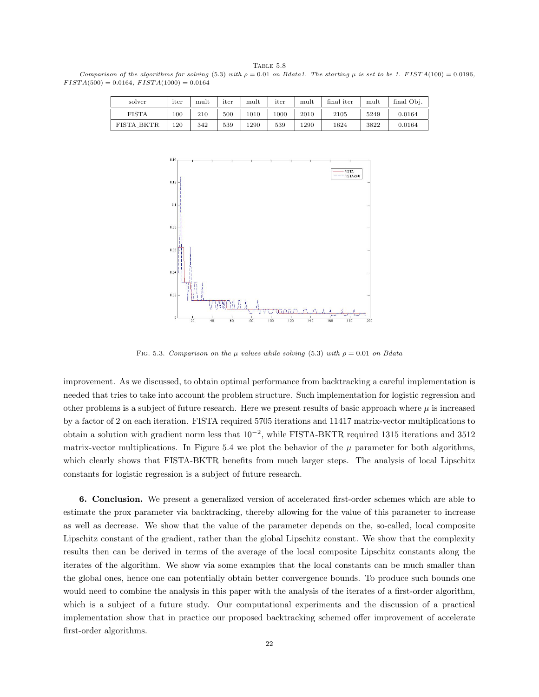TABLE 5.8 Comparison of the algorithms for solving (5.3) with  $\rho = 0.01$  on Bdata1. The starting  $\mu$  is set to be 1. FISTA(100) = 0.0196,  $FISTA(500) = 0.0164, FISTA(1000) = 0.0164$ 

| solver            | iter | mult | iter | mult | iter | mult | final iter | mult | final Obj. |
|-------------------|------|------|------|------|------|------|------------|------|------------|
| <b>FISTA</b>      | 100  | 210  | 500  | 1010 | 1000 | 2010 | 2105       | 5249 | 0.0164     |
| <b>FISTA_BKTR</b> | 120  | 342  | 539  | 1290 | 539  | 1290 | 1624       | 3822 | 0.0164     |



FIG. 5.3. Comparison on the  $\mu$  values while solving (5.3) with  $\rho = 0.01$  on Bdata

improvement. As we discussed, to obtain optimal performance from backtracking a careful implementation is needed that tries to take into account the problem structure. Such implementation for logistic regression and other problems is a subject of future research. Here we present results of basic approach where  $\mu$  is increased by a factor of 2 on each iteration. FISTA required 5705 iterations and 11417 matrix-vector multiplications to obtain a solution with gradient norm less that  $10^{-2}$ , while FISTA-BKTR required 1315 iterations and 3512 matrix-vector multiplications. In Figure 5.4 we plot the behavior of the  $\mu$  parameter for both algorithms, which clearly shows that FISTA-BKTR benefits from much larger steps. The analysis of local Lipschitz constants for logistic regression is a subject of future research.

6. Conclusion. We present a generalized version of accelerated first-order schemes which are able to estimate the prox parameter via backtracking, thereby allowing for the value of this parameter to increase as well as decrease. We show that the value of the parameter depends on the, so-called, local composite Lipschitz constant of the gradient, rather than the global Lipschitz constant. We show that the complexity results then can be derived in terms of the average of the local composite Lipschitz constants along the iterates of the algorithm. We show via some examples that the local constants can be much smaller than the global ones, hence one can potentially obtain better convergence bounds. To produce such bounds one would need to combine the analysis in this paper with the analysis of the iterates of a first-order algorithm, which is a subject of a future study. Our computational experiments and the discussion of a practical implementation show that in practice our proposed backtracking schemed offer improvement of accelerate first-order algorithms.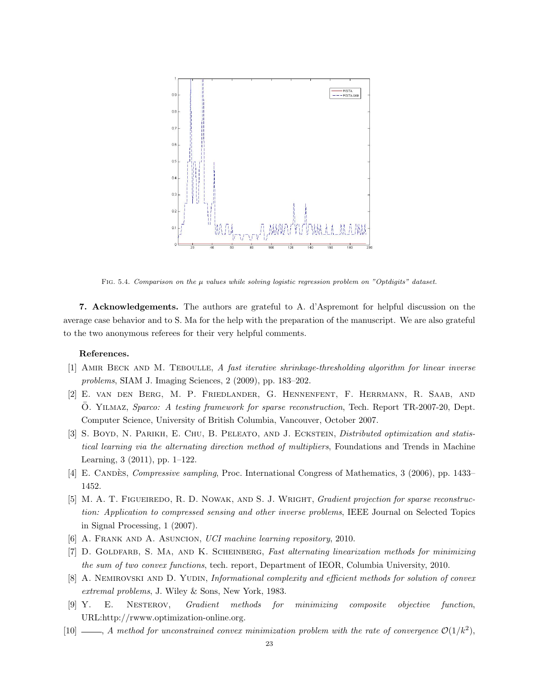

FIG. 5.4. Comparison on the  $\mu$  values while solving logistic regression problem on "Optdigits" dataset.

7. Acknowledgements. The authors are grateful to A. d'Aspremont for helpful discussion on the average case behavior and to S. Ma for the help with the preparation of the manuscript. We are also grateful to the two anonymous referees for their very helpful comments.

## References.

- [1] AMIR BECK AND M. TEBOULLE, A fast iterative shrinkage-thresholding algorithm for linear inverse problems, SIAM J. Imaging Sciences, 2 (2009), pp. 183–202.
- [2] E. van den Berg, M. P. Friedlander, G. Hennenfent, F. Herrmann, R. Saab, and O. YILMAZ, Sparco: A testing framework for sparse reconstruction, Tech. Report TR-2007-20, Dept. Computer Science, University of British Columbia, Vancouver, October 2007.
- [3] S. BOYD, N. PARIKH, E. CHU, B. PELEATO, AND J. ECKSTEIN, *Distributed optimization and statis*tical learning via the alternating direction method of multipliers, Foundations and Trends in Machine Learning, 3 (2011), pp. 1–122.
- [4] E. CANDÈS, *Compressive sampling*, Proc. International Congress of Mathematics, 3 (2006), pp. 1433– 1452.
- [5] M. A. T. FIGUEIREDO, R. D. NOWAK, AND S. J. WRIGHT, *Gradient projection for sparse reconstruc*tion: Application to compressed sensing and other inverse problems, IEEE Journal on Selected Topics in Signal Processing, 1 (2007).
- [6] A. Frank and A. Asuncion, UCI machine learning repository, 2010.
- [7] D. GOLDFARB, S. MA, AND K. SCHEINBERG, Fast alternating linearization methods for minimizing the sum of two convex functions, tech. report, Department of IEOR, Columbia University, 2010.
- [8] A. NEMIROVSKI AND D. YUDIN, *Informational complexity and efficient methods for solution of convex* extremal problems, J. Wiley & Sons, New York, 1983.
- [9] Y. E. Nesterov, Gradient methods for minimizing composite objective function, URL:http://rwww.optimization-online.org.
- [10]  $\_\_\_\_\_\$  A method for unconstrained convex minimization problem with the rate of convergence  $\mathcal{O}(1/k^2)$ ,